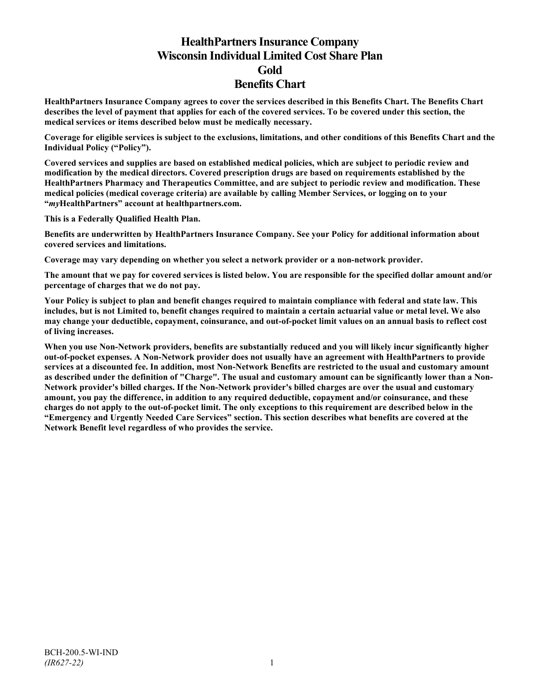# **HealthPartners Insurance Company Wisconsin Individual Limited Cost Share Plan Gold Benefits Chart**

**HealthPartners Insurance Company agrees to cover the services described in this Benefits Chart. The Benefits Chart describes the level of payment that applies for each of the covered services. To be covered under this section, the medical services or items described below must be medically necessary.**

**Coverage for eligible services is subject to the exclusions, limitations, and other conditions of this Benefits Chart and the Individual Policy ("Policy").**

**Covered services and supplies are based on established medical policies, which are subject to periodic review and modification by the medical directors. Covered prescription drugs are based on requirements established by the HealthPartners Pharmacy and Therapeutics Committee, and are subject to periodic review and modification. These medical policies (medical coverage criteria) are available by calling Member Services, or logging on to your "***my***HealthPartners" account at [healthpartners.com.](http://www.healthpartners.com/)**

**This is a Federally Qualified Health Plan.**

**Benefits are underwritten by HealthPartners Insurance Company. See your Policy for additional information about covered services and limitations.**

**Coverage may vary depending on whether you select a network provider or a non-network provider.**

**The amount that we pay for covered services is listed below. You are responsible for the specified dollar amount and/or percentage of charges that we do not pay.**

**Your Policy is subject to plan and benefit changes required to maintain compliance with federal and state law. This includes, but is not Limited to, benefit changes required to maintain a certain actuarial value or metal level. We also may change your deductible, copayment, coinsurance, and out-of-pocket limit values on an annual basis to reflect cost of living increases.**

**When you use Non-Network providers, benefits are substantially reduced and you will likely incur significantly higher out-of-pocket expenses. A Non-Network provider does not usually have an agreement with HealthPartners to provide services at a discounted fee. In addition, most Non-Network Benefits are restricted to the usual and customary amount as described under the definition of "Charge". The usual and customary amount can be significantly lower than a Non-Network provider's billed charges. If the Non-Network provider's billed charges are over the usual and customary amount, you pay the difference, in addition to any required deductible, copayment and/or coinsurance, and these charges do not apply to the out-of-pocket limit. The only exceptions to this requirement are described below in the "Emergency and Urgently Needed Care Services" section. This section describes what benefits are covered at the Network Benefit level regardless of who provides the service.**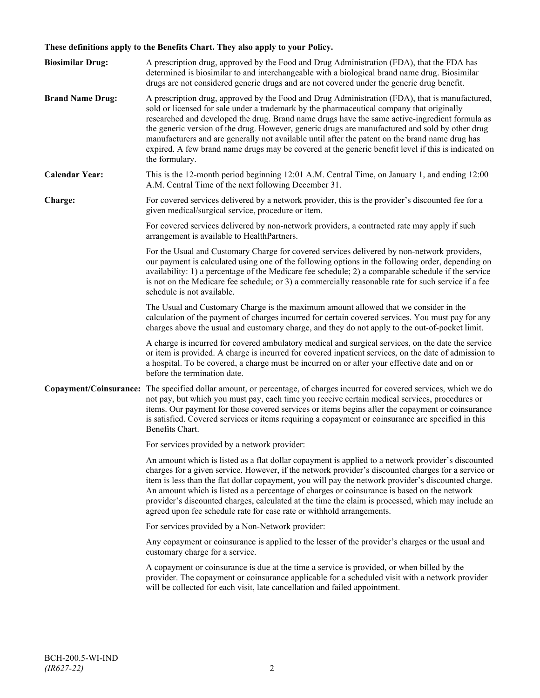# **These definitions apply to the Benefits Chart. They also apply to your Policy.**

| <b>Biosimilar Drug:</b> | A prescription drug, approved by the Food and Drug Administration (FDA), that the FDA has<br>determined is biosimilar to and interchangeable with a biological brand name drug. Biosimilar<br>drugs are not considered generic drugs and are not covered under the generic drug benefit.                                                                                                                                                                                                                                                                                                                                     |
|-------------------------|------------------------------------------------------------------------------------------------------------------------------------------------------------------------------------------------------------------------------------------------------------------------------------------------------------------------------------------------------------------------------------------------------------------------------------------------------------------------------------------------------------------------------------------------------------------------------------------------------------------------------|
| <b>Brand Name Drug:</b> | A prescription drug, approved by the Food and Drug Administration (FDA), that is manufactured,<br>sold or licensed for sale under a trademark by the pharmaceutical company that originally<br>researched and developed the drug. Brand name drugs have the same active-ingredient formula as<br>the generic version of the drug. However, generic drugs are manufactured and sold by other drug<br>manufacturers and are generally not available until after the patent on the brand name drug has<br>expired. A few brand name drugs may be covered at the generic benefit level if this is indicated on<br>the formulary. |
| <b>Calendar Year:</b>   | This is the 12-month period beginning 12:01 A.M. Central Time, on January 1, and ending 12:00<br>A.M. Central Time of the next following December 31.                                                                                                                                                                                                                                                                                                                                                                                                                                                                        |
| Charge:                 | For covered services delivered by a network provider, this is the provider's discounted fee for a<br>given medical/surgical service, procedure or item.                                                                                                                                                                                                                                                                                                                                                                                                                                                                      |
|                         | For covered services delivered by non-network providers, a contracted rate may apply if such<br>arrangement is available to HealthPartners.                                                                                                                                                                                                                                                                                                                                                                                                                                                                                  |
|                         | For the Usual and Customary Charge for covered services delivered by non-network providers,<br>our payment is calculated using one of the following options in the following order, depending on<br>availability: 1) a percentage of the Medicare fee schedule; 2) a comparable schedule if the service<br>is not on the Medicare fee schedule; or 3) a commercially reasonable rate for such service if a fee<br>schedule is not available.                                                                                                                                                                                 |
|                         | The Usual and Customary Charge is the maximum amount allowed that we consider in the<br>calculation of the payment of charges incurred for certain covered services. You must pay for any<br>charges above the usual and customary charge, and they do not apply to the out-of-pocket limit.                                                                                                                                                                                                                                                                                                                                 |
|                         | A charge is incurred for covered ambulatory medical and surgical services, on the date the service<br>or item is provided. A charge is incurred for covered inpatient services, on the date of admission to<br>a hospital. To be covered, a charge must be incurred on or after your effective date and on or<br>before the termination date.                                                                                                                                                                                                                                                                                |
|                         | Copayment/Coinsurance: The specified dollar amount, or percentage, of charges incurred for covered services, which we do<br>not pay, but which you must pay, each time you receive certain medical services, procedures or<br>items. Our payment for those covered services or items begins after the copayment or coinsurance<br>is satisfied. Covered services or items requiring a copayment or coinsurance are specified in this<br>Benefits Chart.                                                                                                                                                                      |
|                         | For services provided by a network provider:                                                                                                                                                                                                                                                                                                                                                                                                                                                                                                                                                                                 |
|                         | An amount which is listed as a flat dollar copayment is applied to a network provider's discounted<br>charges for a given service. However, if the network provider's discounted charges for a service or<br>item is less than the flat dollar copayment, you will pay the network provider's discounted charge.<br>An amount which is listed as a percentage of charges or coinsurance is based on the network<br>provider's discounted charges, calculated at the time the claim is processed, which may include an<br>agreed upon fee schedule rate for case rate or withhold arrangements.                               |
|                         | For services provided by a Non-Network provider:                                                                                                                                                                                                                                                                                                                                                                                                                                                                                                                                                                             |
|                         | Any copayment or coinsurance is applied to the lesser of the provider's charges or the usual and<br>customary charge for a service.                                                                                                                                                                                                                                                                                                                                                                                                                                                                                          |
|                         | A copayment or coinsurance is due at the time a service is provided, or when billed by the<br>provider. The copayment or coinsurance applicable for a scheduled visit with a network provider<br>will be collected for each visit, late cancellation and failed appointment.                                                                                                                                                                                                                                                                                                                                                 |
|                         |                                                                                                                                                                                                                                                                                                                                                                                                                                                                                                                                                                                                                              |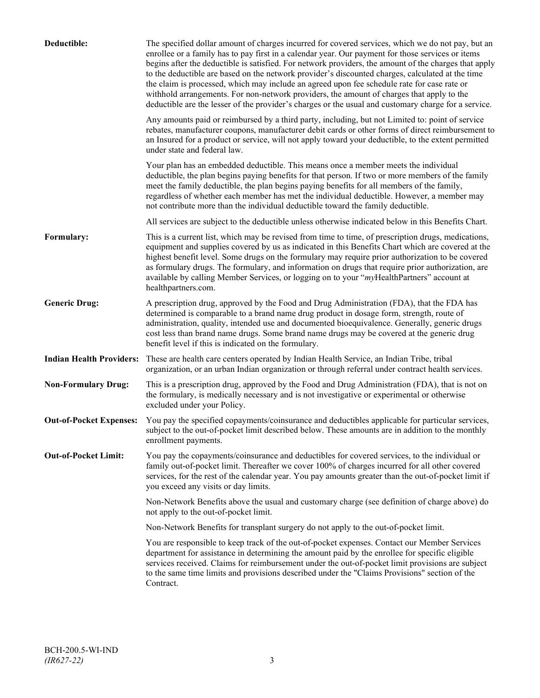| Deductible:                     | The specified dollar amount of charges incurred for covered services, which we do not pay, but an<br>enrollee or a family has to pay first in a calendar year. Our payment for those services or items<br>begins after the deductible is satisfied. For network providers, the amount of the charges that apply<br>to the deductible are based on the network provider's discounted charges, calculated at the time<br>the claim is processed, which may include an agreed upon fee schedule rate for case rate or<br>withhold arrangements. For non-network providers, the amount of charges that apply to the<br>deductible are the lesser of the provider's charges or the usual and customary charge for a service. |
|---------------------------------|-------------------------------------------------------------------------------------------------------------------------------------------------------------------------------------------------------------------------------------------------------------------------------------------------------------------------------------------------------------------------------------------------------------------------------------------------------------------------------------------------------------------------------------------------------------------------------------------------------------------------------------------------------------------------------------------------------------------------|
|                                 | Any amounts paid or reimbursed by a third party, including, but not Limited to: point of service<br>rebates, manufacturer coupons, manufacturer debit cards or other forms of direct reimbursement to<br>an Insured for a product or service, will not apply toward your deductible, to the extent permitted<br>under state and federal law.                                                                                                                                                                                                                                                                                                                                                                            |
|                                 | Your plan has an embedded deductible. This means once a member meets the individual<br>deductible, the plan begins paying benefits for that person. If two or more members of the family<br>meet the family deductible, the plan begins paying benefits for all members of the family,<br>regardless of whether each member has met the individual deductible. However, a member may<br>not contribute more than the individual deductible toward the family deductible.                                                                                                                                                                                                                                                |
|                                 | All services are subject to the deductible unless otherwise indicated below in this Benefits Chart.                                                                                                                                                                                                                                                                                                                                                                                                                                                                                                                                                                                                                     |
| Formulary:                      | This is a current list, which may be revised from time to time, of prescription drugs, medications,<br>equipment and supplies covered by us as indicated in this Benefits Chart which are covered at the<br>highest benefit level. Some drugs on the formulary may require prior authorization to be covered<br>as formulary drugs. The formulary, and information on drugs that require prior authorization, are<br>available by calling Member Services, or logging on to your "myHealthPartners" account at<br>healthpartners.com.                                                                                                                                                                                   |
| <b>Generic Drug:</b>            | A prescription drug, approved by the Food and Drug Administration (FDA), that the FDA has<br>determined is comparable to a brand name drug product in dosage form, strength, route of<br>administration, quality, intended use and documented bioequivalence. Generally, generic drugs<br>cost less than brand name drugs. Some brand name drugs may be covered at the generic drug<br>benefit level if this is indicated on the formulary.                                                                                                                                                                                                                                                                             |
| <b>Indian Health Providers:</b> | These are health care centers operated by Indian Health Service, an Indian Tribe, tribal<br>organization, or an urban Indian organization or through referral under contract health services.                                                                                                                                                                                                                                                                                                                                                                                                                                                                                                                           |
| <b>Non-Formulary Drug:</b>      | This is a prescription drug, approved by the Food and Drug Administration (FDA), that is not on<br>the formulary, is medically necessary and is not investigative or experimental or otherwise<br>excluded under your Policy.                                                                                                                                                                                                                                                                                                                                                                                                                                                                                           |
| <b>Out-of-Pocket Expenses:</b>  | You pay the specified copayments/coinsurance and deductibles applicable for particular services,<br>subject to the out-of-pocket limit described below. These amounts are in addition to the monthly<br>enrollment payments.                                                                                                                                                                                                                                                                                                                                                                                                                                                                                            |
| <b>Out-of-Pocket Limit:</b>     | You pay the copayments/coinsurance and deductibles for covered services, to the individual or<br>family out-of-pocket limit. Thereafter we cover 100% of charges incurred for all other covered<br>services, for the rest of the calendar year. You pay amounts greater than the out-of-pocket limit if<br>you exceed any visits or day limits.                                                                                                                                                                                                                                                                                                                                                                         |
|                                 | Non-Network Benefits above the usual and customary charge (see definition of charge above) do<br>not apply to the out-of-pocket limit.                                                                                                                                                                                                                                                                                                                                                                                                                                                                                                                                                                                  |
|                                 | Non-Network Benefits for transplant surgery do not apply to the out-of-pocket limit.                                                                                                                                                                                                                                                                                                                                                                                                                                                                                                                                                                                                                                    |
|                                 | You are responsible to keep track of the out-of-pocket expenses. Contact our Member Services<br>department for assistance in determining the amount paid by the enrollee for specific eligible<br>services received. Claims for reimbursement under the out-of-pocket limit provisions are subject<br>to the same time limits and provisions described under the "Claims Provisions" section of the<br>Contract.                                                                                                                                                                                                                                                                                                        |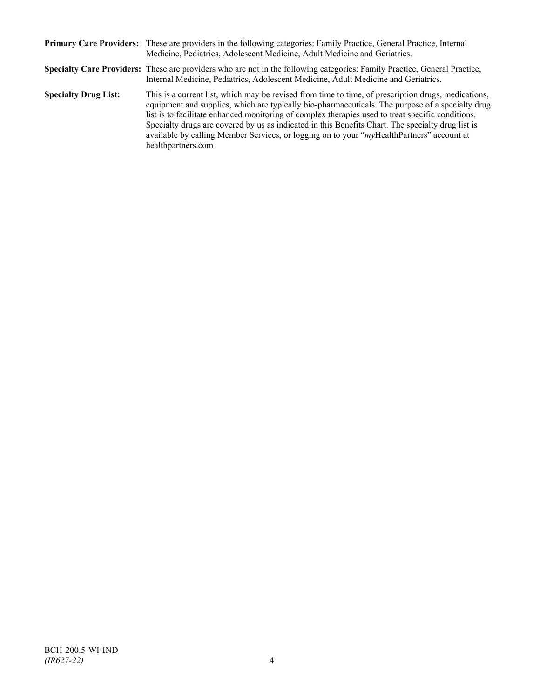|                             | Primary Care Providers: These are providers in the following categories: Family Practice, General Practice, Internal<br>Medicine, Pediatrics, Adolescent Medicine, Adult Medicine and Geriatrics.                                                                                                                                                                                                                                                                                                                                    |
|-----------------------------|--------------------------------------------------------------------------------------------------------------------------------------------------------------------------------------------------------------------------------------------------------------------------------------------------------------------------------------------------------------------------------------------------------------------------------------------------------------------------------------------------------------------------------------|
|                             | Specialty Care Providers: These are providers who are not in the following categories: Family Practice, General Practice,<br>Internal Medicine, Pediatrics, Adolescent Medicine, Adult Medicine and Geriatrics.                                                                                                                                                                                                                                                                                                                      |
| <b>Specialty Drug List:</b> | This is a current list, which may be revised from time to time, of prescription drugs, medications,<br>equipment and supplies, which are typically bio-pharmaceuticals. The purpose of a specialty drug<br>list is to facilitate enhanced monitoring of complex therapies used to treat specific conditions.<br>Specialty drugs are covered by us as indicated in this Benefits Chart. The specialty drug list is<br>available by calling Member Services, or logging on to your "myHealthPartners" account at<br>healthpartners.com |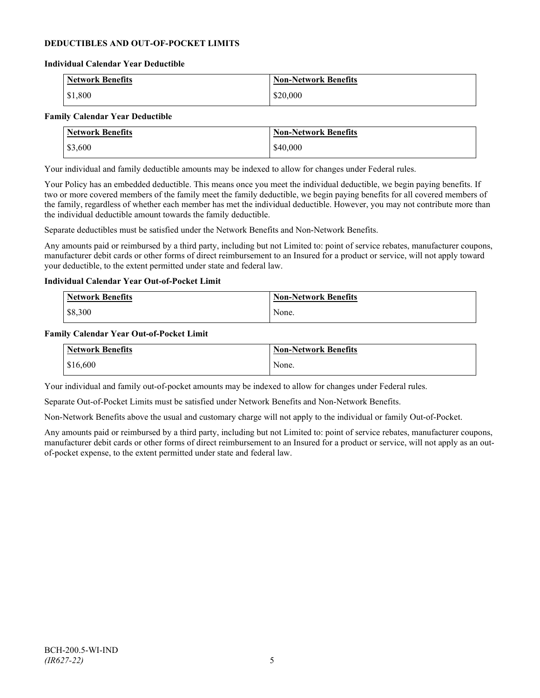### **DEDUCTIBLES AND OUT-OF-POCKET LIMITS**

#### **Individual Calendar Year Deductible**

| <b>Network Benefits</b> | <b>Non-Network Benefits</b> |
|-------------------------|-----------------------------|
| \$1,800                 | \$20,000                    |

#### **Family Calendar Year Deductible**

| <b>Network Benefits</b> | <b>Non-Network Benefits</b> |
|-------------------------|-----------------------------|
| \$3,600                 | \$40,000                    |

Your individual and family deductible amounts may be indexed to allow for changes under Federal rules.

Your Policy has an embedded deductible. This means once you meet the individual deductible, we begin paying benefits. If two or more covered members of the family meet the family deductible, we begin paying benefits for all covered members of the family, regardless of whether each member has met the individual deductible. However, you may not contribute more than the individual deductible amount towards the family deductible.

Separate deductibles must be satisfied under the Network Benefits and Non-Network Benefits.

Any amounts paid or reimbursed by a third party, including but not Limited to: point of service rebates, manufacturer coupons, manufacturer debit cards or other forms of direct reimbursement to an Insured for a product or service, will not apply toward your deductible, to the extent permitted under state and federal law.

### **Individual Calendar Year Out-of-Pocket Limit**

| Network Benefits | <b>Non-Network Benefits</b> |
|------------------|-----------------------------|
| \$8,300          | None.                       |

#### **Family Calendar Year Out-of-Pocket Limit**

| Network Benefits | <b>Non-Network Benefits</b> |
|------------------|-----------------------------|
| \$16,600         | None.                       |

Your individual and family out-of-pocket amounts may be indexed to allow for changes under Federal rules.

Separate Out-of-Pocket Limits must be satisfied under Network Benefits and Non-Network Benefits.

Non-Network Benefits above the usual and customary charge will not apply to the individual or family Out-of-Pocket.

Any amounts paid or reimbursed by a third party, including but not Limited to: point of service rebates, manufacturer coupons, manufacturer debit cards or other forms of direct reimbursement to an Insured for a product or service, will not apply as an outof-pocket expense, to the extent permitted under state and federal law.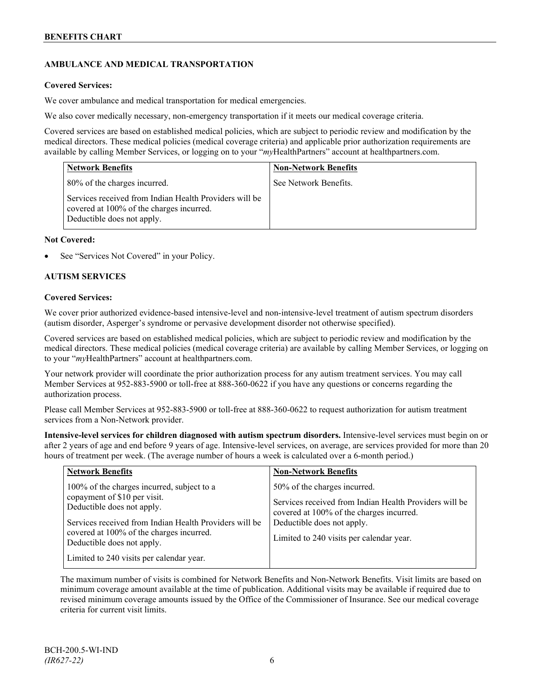### **AMBULANCE AND MEDICAL TRANSPORTATION**

### **Covered Services:**

We cover ambulance and medical transportation for medical emergencies.

We also cover medically necessary, non-emergency transportation if it meets our medical coverage criteria.

Covered services are based on established medical policies, which are subject to periodic review and modification by the medical directors. These medical policies (medical coverage criteria) and applicable prior authorization requirements are available by calling Member Services, or logging on to your "*my*HealthPartners" account a[t healthpartners.com.](http://www.healthpartners.com/)

| <b>Network Benefits</b>                                                                                                          | <b>Non-Network Benefits</b> |
|----------------------------------------------------------------------------------------------------------------------------------|-----------------------------|
| 80% of the charges incurred.                                                                                                     | See Network Benefits.       |
| Services received from Indian Health Providers will be<br>covered at 100% of the charges incurred.<br>Deductible does not apply. |                             |

### **Not Covered:**

See "Services Not Covered" in your Policy.

### **AUTISM SERVICES**

### **Covered Services:**

We cover prior authorized evidence-based intensive-level and non-intensive-level treatment of autism spectrum disorders (autism disorder, Asperger's syndrome or pervasive development disorder not otherwise specified).

Covered services are based on established medical policies, which are subject to periodic review and modification by the medical directors. These medical policies (medical coverage criteria) are available by calling Member Services, or logging on to your "*my*HealthPartners" account at [healthpartners.com.](http://www.healthpartners.com/)

Your network provider will coordinate the prior authorization process for any autism treatment services. You may call Member Services at 952-883-5900 or toll-free at 888-360-0622 if you have any questions or concerns regarding the authorization process.

Please call Member Services at 952-883-5900 or toll-free at 888-360-0622 to request authorization for autism treatment services from a Non-Network provider.

**Intensive-level services for children diagnosed with autism spectrum disorders.** Intensive-level services must begin on or after 2 years of age and end before 9 years of age. Intensive-level services, on average, are services provided for more than 20 hours of treatment per week. (The average number of hours a week is calculated over a 6-month period.)

| <b>Network Benefits</b>                                                                                                                                                                                                                                                                  | <b>Non-Network Benefits</b>                                                                                                                                                                                  |
|------------------------------------------------------------------------------------------------------------------------------------------------------------------------------------------------------------------------------------------------------------------------------------------|--------------------------------------------------------------------------------------------------------------------------------------------------------------------------------------------------------------|
| 100% of the charges incurred, subject to a<br>copayment of \$10 per visit.<br>Deductible does not apply.<br>Services received from Indian Health Providers will be<br>covered at 100% of the charges incurred.<br>Deductible does not apply.<br>Limited to 240 visits per calendar year. | 50% of the charges incurred.<br>Services received from Indian Health Providers will be<br>covered at 100% of the charges incurred.<br>Deductible does not apply.<br>Limited to 240 visits per calendar year. |

The maximum number of visits is combined for Network Benefits and Non-Network Benefits. Visit limits are based on minimum coverage amount available at the time of publication. Additional visits may be available if required due to revised minimum coverage amounts issued by the Office of the Commissioner of Insurance. See our medical coverage criteria for current visit limits.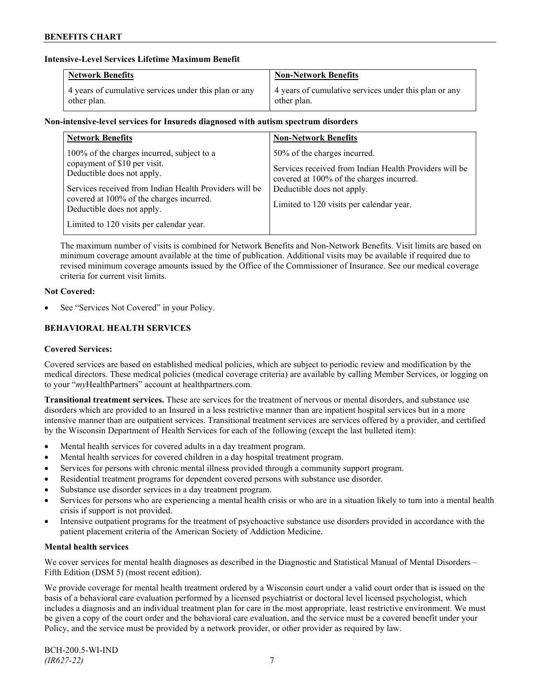### **Intensive-Level Services Lifetime Maximum Benefit**

| <b>Network Benefits</b>                               | <b>Non-Network Benefits</b>                           |
|-------------------------------------------------------|-------------------------------------------------------|
| 4 years of cumulative services under this plan or any | 4 years of cumulative services under this plan or any |
| other plan.                                           | other plan.                                           |

### **Non-intensive-level services for Insureds diagnosed with autism spectrum disorders**

| <b>Network Benefits</b>                                                                                                                                                                                                                                                                  | <b>Non-Network Benefits</b>                                                                                                                                                                                  |
|------------------------------------------------------------------------------------------------------------------------------------------------------------------------------------------------------------------------------------------------------------------------------------------|--------------------------------------------------------------------------------------------------------------------------------------------------------------------------------------------------------------|
| 100% of the charges incurred, subject to a<br>copayment of \$10 per visit.<br>Deductible does not apply.<br>Services received from Indian Health Providers will be<br>covered at 100% of the charges incurred.<br>Deductible does not apply.<br>Limited to 120 visits per calendar year. | 50% of the charges incurred.<br>Services received from Indian Health Providers will be<br>covered at 100% of the charges incurred.<br>Deductible does not apply.<br>Limited to 120 visits per calendar year. |

The maximum number of visits is combined for Network Benefits and Non-Network Benefits. Visit limits are based on minimum coverage amount available at the time of publication. Additional visits may be available if required due to revised minimum coverage amounts issued by the Office of the Commissioner of Insurance. See our medical coverage criteria for current visit limits.

### **Not Covered:**

See "Services Not Covered" in your Policy.

### **BEHAVIORAL HEALTH SERVICES**

### **Covered Services:**

Covered services are based on established medical policies, which are subject to periodic review and modification by the medical directors. These medical policies (medical coverage criteria) are available by calling Member Services, or logging on to your "*my*HealthPartners" account at [healthpartners.com.](http://www.healthpartners.com/)

**Transitional treatment services.** These are services for the treatment of nervous or mental disorders, and substance use disorders which are provided to an Insured in a less restrictive manner than are inpatient hospital services but in a more intensive manner than are outpatient services. Transitional treatment services are services offered by a provider, and certified by the Wisconsin Department of Health Services for each of the following (except the last bulleted item):

- Mental health services for covered adults in a day treatment program.
- Mental health services for covered children in a day hospital treatment program.
- Services for persons with chronic mental illness provided through a community support program.
- Residential treatment programs for dependent covered persons with substance use disorder.
- Substance use disorder services in a day treatment program.
- Services for persons who are experiencing a mental health crisis or who are in a situation likely to turn into a mental health crisis if support is not provided.
- Intensive outpatient programs for the treatment of psychoactive substance use disorders provided in accordance with the patient placement criteria of the American Society of Addiction Medicine.

#### **Mental health services**

We cover services for mental health diagnoses as described in the Diagnostic and Statistical Manual of Mental Disorders – Fifth Edition (DSM 5) (most recent edition).

We provide coverage for mental health treatment ordered by a Wisconsin court under a valid court order that is issued on the basis of a behavioral care evaluation performed by a licensed psychiatrist or doctoral level licensed psychologist, which includes a diagnosis and an individual treatment plan for care in the most appropriate, least restrictive environment. We must be given a copy of the court order and the behavioral care evaluation, and the service must be a covered benefit under your Policy, and the service must be provided by a network provider, or other provider as required by law.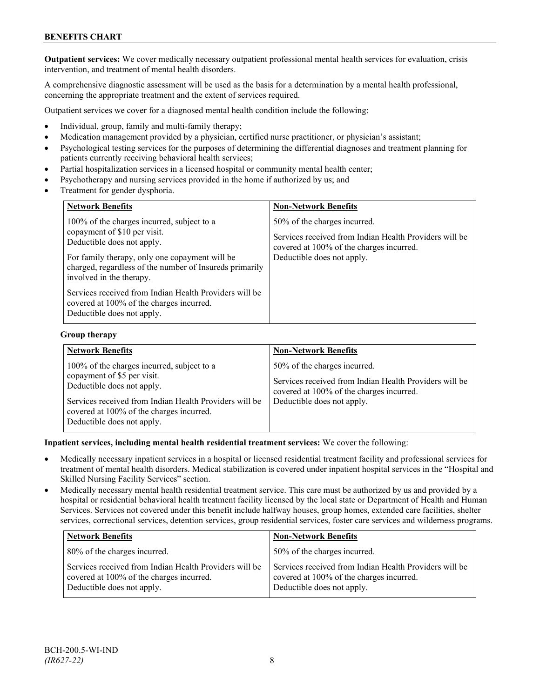### **BENEFITS CHART**

**Outpatient services:** We cover medically necessary outpatient professional mental health services for evaluation, crisis intervention, and treatment of mental health disorders.

A comprehensive diagnostic assessment will be used as the basis for a determination by a mental health professional, concerning the appropriate treatment and the extent of services required.

Outpatient services we cover for a diagnosed mental health condition include the following:

- Individual, group, family and multi-family therapy;
- Medication management provided by a physician, certified nurse practitioner, or physician's assistant;
- Psychological testing services for the purposes of determining the differential diagnoses and treatment planning for patients currently receiving behavioral health services;
- Partial hospitalization services in a licensed hospital or community mental health center;
- Psychotherapy and nursing services provided in the home if authorized by us; and
- Treatment for gender dysphoria.

| <b>Network Benefits</b>                                                                                                                                                                                                                           | <b>Non-Network Benefits</b>                                                                                                                                      |
|---------------------------------------------------------------------------------------------------------------------------------------------------------------------------------------------------------------------------------------------------|------------------------------------------------------------------------------------------------------------------------------------------------------------------|
| 100% of the charges incurred, subject to a<br>copayment of \$10 per visit.<br>Deductible does not apply.<br>For family therapy, only one copayment will be<br>charged, regardless of the number of Insureds primarily<br>involved in the therapy. | 50% of the charges incurred.<br>Services received from Indian Health Providers will be<br>covered at 100% of the charges incurred.<br>Deductible does not apply. |
| Services received from Indian Health Providers will be<br>covered at 100% of the charges incurred.<br>Deductible does not apply.                                                                                                                  |                                                                                                                                                                  |

#### **Group therapy**

| <b>Network Benefits</b>                                                                                                                                                                                                                     | <b>Non-Network Benefits</b>                                                                                                                                      |
|---------------------------------------------------------------------------------------------------------------------------------------------------------------------------------------------------------------------------------------------|------------------------------------------------------------------------------------------------------------------------------------------------------------------|
| 100% of the charges incurred, subject to a<br>copayment of \$5 per visit.<br>Deductible does not apply.<br>Services received from Indian Health Providers will be<br>covered at 100% of the charges incurred.<br>Deductible does not apply. | 50% of the charges incurred.<br>Services received from Indian Health Providers will be<br>covered at 100% of the charges incurred.<br>Deductible does not apply. |

**Inpatient services, including mental health residential treatment services:** We cover the following:

- Medically necessary inpatient services in a hospital or licensed residential treatment facility and professional services for treatment of mental health disorders. Medical stabilization is covered under inpatient hospital services in the "Hospital and Skilled Nursing Facility Services" section.
- Medically necessary mental health residential treatment service. This care must be authorized by us and provided by a hospital or residential behavioral health treatment facility licensed by the local state or Department of Health and Human Services. Services not covered under this benefit include halfway houses, group homes, extended care facilities, shelter services, correctional services, detention services, group residential services, foster care services and wilderness programs.

| <b>Network Benefits</b>                                                                                                          | <b>Non-Network Benefits</b>                                                                                                      |
|----------------------------------------------------------------------------------------------------------------------------------|----------------------------------------------------------------------------------------------------------------------------------|
| 80% of the charges incurred.                                                                                                     | 50% of the charges incurred.                                                                                                     |
| Services received from Indian Health Providers will be<br>covered at 100% of the charges incurred.<br>Deductible does not apply. | Services received from Indian Health Providers will be<br>covered at 100% of the charges incurred.<br>Deductible does not apply. |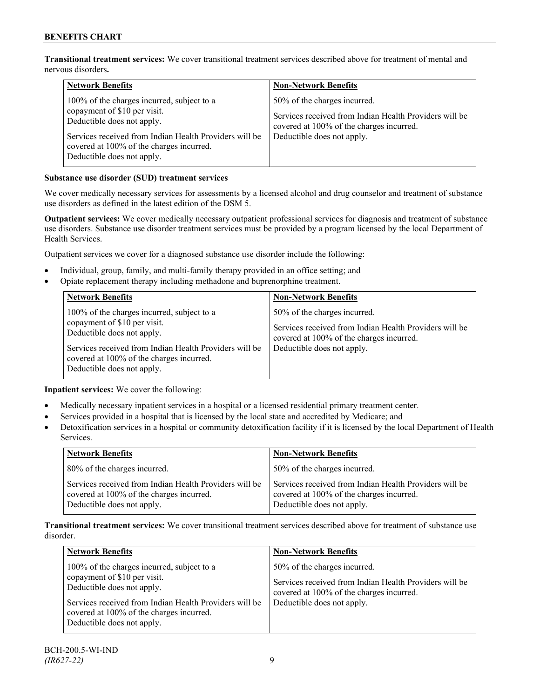**Transitional treatment services:** We cover transitional treatment services described above for treatment of mental and nervous disorders**.**

| <b>Network Benefits</b>                                                                                                                                                                                                                      | <b>Non-Network Benefits</b>                                                                                                                                      |
|----------------------------------------------------------------------------------------------------------------------------------------------------------------------------------------------------------------------------------------------|------------------------------------------------------------------------------------------------------------------------------------------------------------------|
| 100% of the charges incurred, subject to a<br>copayment of \$10 per visit.<br>Deductible does not apply.<br>Services received from Indian Health Providers will be<br>covered at 100% of the charges incurred.<br>Deductible does not apply. | 50% of the charges incurred.<br>Services received from Indian Health Providers will be<br>covered at 100% of the charges incurred.<br>Deductible does not apply. |

### **Substance use disorder (SUD) treatment services**

We cover medically necessary services for assessments by a licensed alcohol and drug counselor and treatment of substance use disorders as defined in the latest edition of the DSM 5.

**Outpatient services:** We cover medically necessary outpatient professional services for diagnosis and treatment of substance use disorders. Substance use disorder treatment services must be provided by a program licensed by the local Department of Health Services.

Outpatient services we cover for a diagnosed substance use disorder include the following:

- Individual, group, family, and multi-family therapy provided in an office setting; and
- Opiate replacement therapy including methadone and buprenorphine treatment.

| <b>Network Benefits</b>                                                                                                                                                                                                                      | <b>Non-Network Benefits</b>                                                                                                                                      |
|----------------------------------------------------------------------------------------------------------------------------------------------------------------------------------------------------------------------------------------------|------------------------------------------------------------------------------------------------------------------------------------------------------------------|
| 100% of the charges incurred, subject to a<br>copayment of \$10 per visit.<br>Deductible does not apply.<br>Services received from Indian Health Providers will be<br>covered at 100% of the charges incurred.<br>Deductible does not apply. | 50% of the charges incurred.<br>Services received from Indian Health Providers will be<br>covered at 100% of the charges incurred.<br>Deductible does not apply. |

**Inpatient services:** We cover the following:

- Medically necessary inpatient services in a hospital or a licensed residential primary treatment center.
- Services provided in a hospital that is licensed by the local state and accredited by Medicare; and
- Detoxification services in a hospital or community detoxification facility if it is licensed by the local Department of Health Services.

| <b>Network Benefits</b>                                                                                                          | <b>Non-Network Benefits</b>                                                                                                      |
|----------------------------------------------------------------------------------------------------------------------------------|----------------------------------------------------------------------------------------------------------------------------------|
| 80% of the charges incurred.                                                                                                     | 50% of the charges incurred.                                                                                                     |
| Services received from Indian Health Providers will be<br>covered at 100% of the charges incurred.<br>Deductible does not apply. | Services received from Indian Health Providers will be<br>covered at 100% of the charges incurred.<br>Deductible does not apply. |

**Transitional treatment services:** We cover transitional treatment services described above for treatment of substance use disorder.

| <b>Network Benefits</b>                                                                                                                                                                                                                      | <b>Non-Network Benefits</b>                                                                                                                                      |
|----------------------------------------------------------------------------------------------------------------------------------------------------------------------------------------------------------------------------------------------|------------------------------------------------------------------------------------------------------------------------------------------------------------------|
| 100% of the charges incurred, subject to a<br>copayment of \$10 per visit.<br>Deductible does not apply.<br>Services received from Indian Health Providers will be<br>covered at 100% of the charges incurred.<br>Deductible does not apply. | 50% of the charges incurred.<br>Services received from Indian Health Providers will be<br>covered at 100% of the charges incurred.<br>Deductible does not apply. |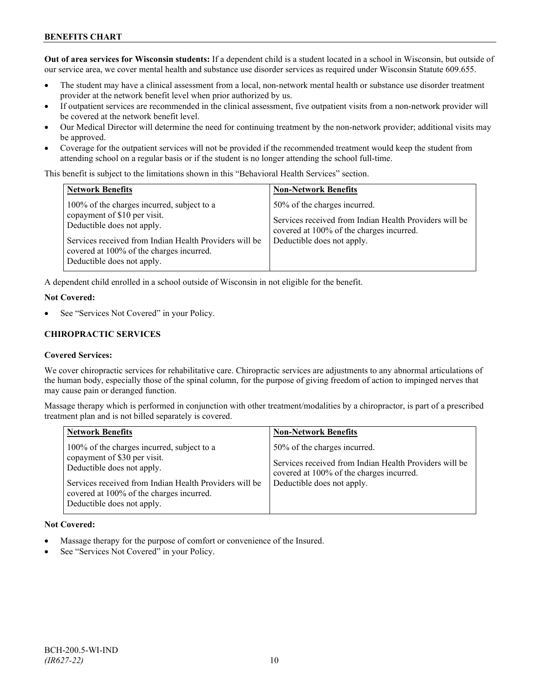### **BENEFITS CHART**

**Out of area services for Wisconsin students:** If a dependent child is a student located in a school in Wisconsin, but outside of our service area, we cover mental health and substance use disorder services as required under Wisconsin Statute 609.655.

- The student may have a clinical assessment from a local, non-network mental health or substance use disorder treatment provider at the network benefit level when prior authorized by us.
- If outpatient services are recommended in the clinical assessment, five outpatient visits from a non-network provider will be covered at the network benefit level.
- Our Medical Director will determine the need for continuing treatment by the non-network provider; additional visits may be approved.
- Coverage for the outpatient services will not be provided if the recommended treatment would keep the student from attending school on a regular basis or if the student is no longer attending the school full-time.

This benefit is subject to the limitations shown in this "Behavioral Health Services" section.

| <b>Network Benefits</b>                                                                                                                                                                                                                      | <b>Non-Network Benefits</b>                                                                                                                                      |
|----------------------------------------------------------------------------------------------------------------------------------------------------------------------------------------------------------------------------------------------|------------------------------------------------------------------------------------------------------------------------------------------------------------------|
| 100% of the charges incurred, subject to a<br>copayment of \$10 per visit.<br>Deductible does not apply.<br>Services received from Indian Health Providers will be<br>covered at 100% of the charges incurred.<br>Deductible does not apply. | 50% of the charges incurred.<br>Services received from Indian Health Providers will be<br>covered at 100% of the charges incurred.<br>Deductible does not apply. |

A dependent child enrolled in a school outside of Wisconsin in not eligible for the benefit.

### **Not Covered:**

See "Services Not Covered" in your Policy.

### **CHIROPRACTIC SERVICES**

#### **Covered Services:**

We cover chiropractic services for rehabilitative care. Chiropractic services are adjustments to any abnormal articulations of the human body, especially those of the spinal column, for the purpose of giving freedom of action to impinged nerves that may cause pain or deranged function.

Massage therapy which is performed in conjunction with other treatment/modalities by a chiropractor, is part of a prescribed treatment plan and is not billed separately is covered.

| <b>Network Benefits</b>                                                                                                                                                                                                                      | <b>Non-Network Benefits</b>                                                                                                                                      |
|----------------------------------------------------------------------------------------------------------------------------------------------------------------------------------------------------------------------------------------------|------------------------------------------------------------------------------------------------------------------------------------------------------------------|
| 100% of the charges incurred, subject to a<br>copayment of \$30 per visit.<br>Deductible does not apply.<br>Services received from Indian Health Providers will be<br>covered at 100% of the charges incurred.<br>Deductible does not apply. | 50% of the charges incurred.<br>Services received from Indian Health Providers will be<br>covered at 100% of the charges incurred.<br>Deductible does not apply. |

#### **Not Covered:**

- Massage therapy for the purpose of comfort or convenience of the Insured.
- See "Services Not Covered" in your Policy.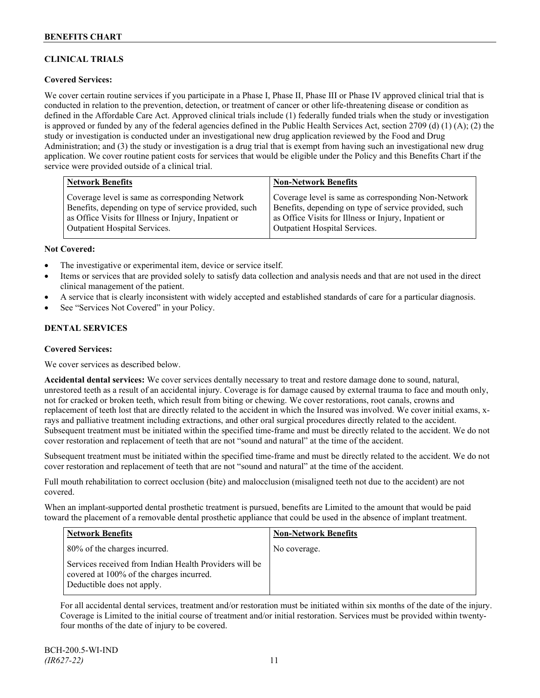### **CLINICAL TRIALS**

### **Covered Services:**

We cover certain routine services if you participate in a Phase I, Phase II, Phase III or Phase IV approved clinical trial that is conducted in relation to the prevention, detection, or treatment of cancer or other life-threatening disease or condition as defined in the Affordable Care Act. Approved clinical trials include (1) federally funded trials when the study or investigation is approved or funded by any of the federal agencies defined in the Public Health Services Act, section 2709 (d) (1) (A); (2) the study or investigation is conducted under an investigational new drug application reviewed by the Food and Drug Administration; and (3) the study or investigation is a drug trial that is exempt from having such an investigational new drug application. We cover routine patient costs for services that would be eligible under the Policy and this Benefits Chart if the service were provided outside of a clinical trial.

| <b>Network Benefits</b>                               | <b>Non-Network Benefits</b>                           |
|-------------------------------------------------------|-------------------------------------------------------|
| Coverage level is same as corresponding Network       | Coverage level is same as corresponding Non-Network   |
| Benefits, depending on type of service provided, such | Benefits, depending on type of service provided, such |
| as Office Visits for Illness or Injury, Inpatient or  | as Office Visits for Illness or Injury, Inpatient or  |
| <b>Outpatient Hospital Services.</b>                  | <b>Outpatient Hospital Services.</b>                  |

### **Not Covered:**

- The investigative or experimental item, device or service itself.
- Items or services that are provided solely to satisfy data collection and analysis needs and that are not used in the direct clinical management of the patient.
- A service that is clearly inconsistent with widely accepted and established standards of care for a particular diagnosis.
- See "Services Not Covered" in your Policy.

### **DENTAL SERVICES**

### **Covered Services:**

We cover services as described below.

**Accidental dental services:** We cover services dentally necessary to treat and restore damage done to sound, natural, unrestored teeth as a result of an accidental injury. Coverage is for damage caused by external trauma to face and mouth only, not for cracked or broken teeth, which result from biting or chewing. We cover restorations, root canals, crowns and replacement of teeth lost that are directly related to the accident in which the Insured was involved. We cover initial exams, xrays and palliative treatment including extractions, and other oral surgical procedures directly related to the accident. Subsequent treatment must be initiated within the specified time-frame and must be directly related to the accident. We do not cover restoration and replacement of teeth that are not "sound and natural" at the time of the accident.

Subsequent treatment must be initiated within the specified time-frame and must be directly related to the accident. We do not cover restoration and replacement of teeth that are not "sound and natural" at the time of the accident.

Full mouth rehabilitation to correct occlusion (bite) and malocclusion (misaligned teeth not due to the accident) are not covered.

When an implant-supported dental prosthetic treatment is pursued, benefits are Limited to the amount that would be paid toward the placement of a removable dental prosthetic appliance that could be used in the absence of implant treatment.

| Network Benefits                                                                                                                 | <b>Non-Network Benefits</b> |
|----------------------------------------------------------------------------------------------------------------------------------|-----------------------------|
| 80% of the charges incurred.                                                                                                     | No coverage.                |
| Services received from Indian Health Providers will be<br>covered at 100% of the charges incurred.<br>Deductible does not apply. |                             |

For all accidental dental services, treatment and/or restoration must be initiated within six months of the date of the injury. Coverage is Limited to the initial course of treatment and/or initial restoration. Services must be provided within twentyfour months of the date of injury to be covered.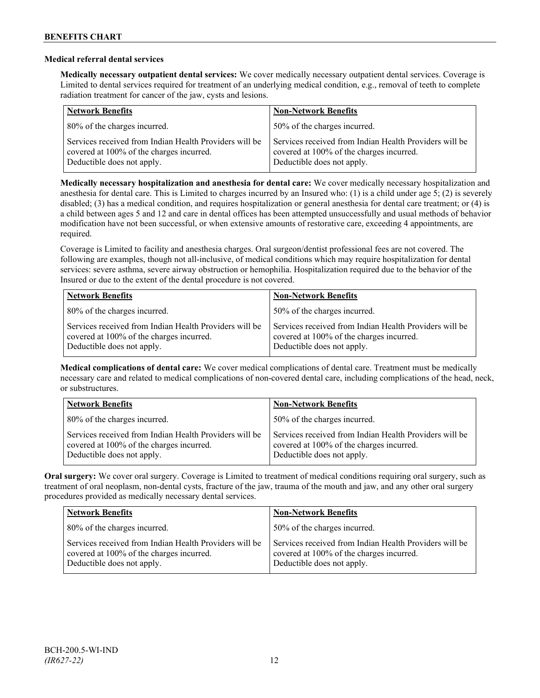### **Medical referral dental services**

**Medically necessary outpatient dental services:** We cover medically necessary outpatient dental services. Coverage is Limited to dental services required for treatment of an underlying medical condition, e.g., removal of teeth to complete radiation treatment for cancer of the jaw, cysts and lesions.

| <b>Network Benefits</b>                                                                                                          | <b>Non-Network Benefits</b>                                                                                                      |
|----------------------------------------------------------------------------------------------------------------------------------|----------------------------------------------------------------------------------------------------------------------------------|
| 80% of the charges incurred.                                                                                                     | 50% of the charges incurred.                                                                                                     |
| Services received from Indian Health Providers will be<br>covered at 100% of the charges incurred.<br>Deductible does not apply. | Services received from Indian Health Providers will be<br>covered at 100% of the charges incurred.<br>Deductible does not apply. |

**Medically necessary hospitalization and anesthesia for dental care:** We cover medically necessary hospitalization and anesthesia for dental care. This is Limited to charges incurred by an Insured who: (1) is a child under age 5; (2) is severely disabled; (3) has a medical condition, and requires hospitalization or general anesthesia for dental care treatment; or (4) is a child between ages 5 and 12 and care in dental offices has been attempted unsuccessfully and usual methods of behavior modification have not been successful, or when extensive amounts of restorative care, exceeding 4 appointments, are required.

Coverage is Limited to facility and anesthesia charges. Oral surgeon/dentist professional fees are not covered. The following are examples, though not all-inclusive, of medical conditions which may require hospitalization for dental services: severe asthma, severe airway obstruction or hemophilia. Hospitalization required due to the behavior of the Insured or due to the extent of the dental procedure is not covered.

| <b>Network Benefits</b>                                                                                                          | <b>Non-Network Benefits</b>                                                                                                      |
|----------------------------------------------------------------------------------------------------------------------------------|----------------------------------------------------------------------------------------------------------------------------------|
| 80% of the charges incurred.                                                                                                     | 50% of the charges incurred.                                                                                                     |
| Services received from Indian Health Providers will be<br>covered at 100% of the charges incurred.<br>Deductible does not apply. | Services received from Indian Health Providers will be<br>covered at 100% of the charges incurred.<br>Deductible does not apply. |

**Medical complications of dental care:** We cover medical complications of dental care. Treatment must be medically necessary care and related to medical complications of non-covered dental care, including complications of the head, neck, or substructures.

| <b>Network Benefits</b>                                                                                                          | <b>Non-Network Benefits</b>                                                                                                      |
|----------------------------------------------------------------------------------------------------------------------------------|----------------------------------------------------------------------------------------------------------------------------------|
| 80% of the charges incurred.                                                                                                     | 50% of the charges incurred.                                                                                                     |
| Services received from Indian Health Providers will be<br>covered at 100% of the charges incurred.<br>Deductible does not apply. | Services received from Indian Health Providers will be<br>covered at 100% of the charges incurred.<br>Deductible does not apply. |

**Oral surgery:** We cover oral surgery. Coverage is Limited to treatment of medical conditions requiring oral surgery, such as treatment of oral neoplasm, non-dental cysts, fracture of the jaw, trauma of the mouth and jaw, and any other oral surgery procedures provided as medically necessary dental services.

| <b>Network Benefits</b>                                                                                                          | <b>Non-Network Benefits</b>                                                                                                      |
|----------------------------------------------------------------------------------------------------------------------------------|----------------------------------------------------------------------------------------------------------------------------------|
| 80% of the charges incurred.                                                                                                     | 50% of the charges incurred.                                                                                                     |
| Services received from Indian Health Providers will be<br>covered at 100% of the charges incurred.<br>Deductible does not apply. | Services received from Indian Health Providers will be<br>covered at 100% of the charges incurred.<br>Deductible does not apply. |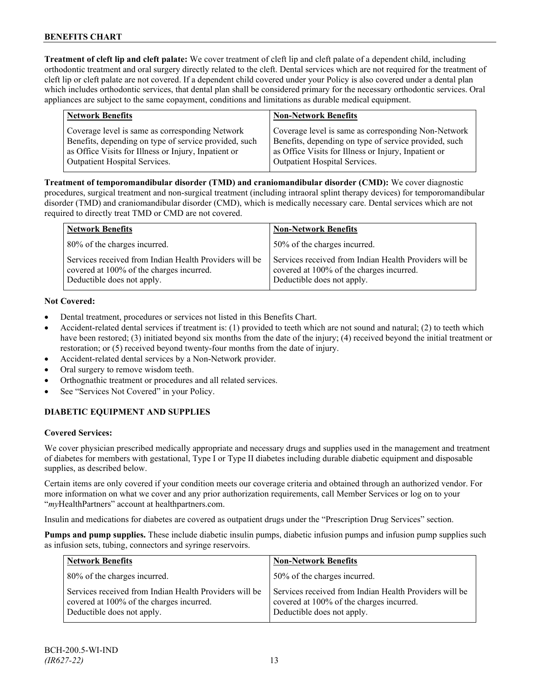**Treatment of cleft lip and cleft palate:** We cover treatment of cleft lip and cleft palate of a dependent child, including orthodontic treatment and oral surgery directly related to the cleft. Dental services which are not required for the treatment of cleft lip or cleft palate are not covered. If a dependent child covered under your Policy is also covered under a dental plan which includes orthodontic services, that dental plan shall be considered primary for the necessary orthodontic services. Oral appliances are subject to the same copayment, conditions and limitations as durable medical equipment.

| <b>Network Benefits</b>                               | <b>Non-Network Benefits</b>                           |
|-------------------------------------------------------|-------------------------------------------------------|
| Coverage level is same as corresponding Network       | Coverage level is same as corresponding Non-Network   |
| Benefits, depending on type of service provided, such | Benefits, depending on type of service provided, such |
| as Office Visits for Illness or Injury, Inpatient or  | as Office Visits for Illness or Injury, Inpatient or  |
| Outpatient Hospital Services.                         | Outpatient Hospital Services.                         |

**Treatment of temporomandibular disorder (TMD) and craniomandibular disorder (CMD):** We cover diagnostic procedures, surgical treatment and non-surgical treatment (including intraoral splint therapy devices) for temporomandibular disorder (TMD) and craniomandibular disorder (CMD), which is medically necessary care. Dental services which are not required to directly treat TMD or CMD are not covered.

| <b>Network Benefits</b>                                                                                                          | <b>Non-Network Benefits</b>                                                                                                      |
|----------------------------------------------------------------------------------------------------------------------------------|----------------------------------------------------------------------------------------------------------------------------------|
| 80% of the charges incurred.                                                                                                     | 50% of the charges incurred.                                                                                                     |
| Services received from Indian Health Providers will be<br>covered at 100% of the charges incurred.<br>Deductible does not apply. | Services received from Indian Health Providers will be<br>covered at 100% of the charges incurred.<br>Deductible does not apply. |

### **Not Covered:**

- Dental treatment, procedures or services not listed in this Benefits Chart.
- Accident-related dental services if treatment is: (1) provided to teeth which are not sound and natural; (2) to teeth which have been restored; (3) initiated beyond six months from the date of the injury; (4) received beyond the initial treatment or restoration; or (5) received beyond twenty-four months from the date of injury.
- Accident-related dental services by a Non-Network provider.
- Oral surgery to remove wisdom teeth.
- Orthognathic treatment or procedures and all related services.
- See "Services Not Covered" in your Policy.

### **DIABETIC EQUIPMENT AND SUPPLIES**

### **Covered Services:**

We cover physician prescribed medically appropriate and necessary drugs and supplies used in the management and treatment of diabetes for members with gestational, Type I or Type II diabetes including durable diabetic equipment and disposable supplies, as described below.

Certain items are only covered if your condition meets our coverage criteria and obtained through an authorized vendor. For more information on what we cover and any prior authorization requirements, call Member Services or log on to your "*my*HealthPartners" account at [healthpartners.com.](http://www.healthpartners.com/)

Insulin and medications for diabetes are covered as outpatient drugs under the "Prescription Drug Services" section.

**Pumps and pump supplies.** These include diabetic insulin pumps, diabetic infusion pumps and infusion pump supplies such as infusion sets, tubing, connectors and syringe reservoirs.

| <b>Network Benefits</b>                                                                                                          | <b>Non-Network Benefits</b>                                                                                                      |
|----------------------------------------------------------------------------------------------------------------------------------|----------------------------------------------------------------------------------------------------------------------------------|
| 80% of the charges incurred.                                                                                                     | 50% of the charges incurred.                                                                                                     |
| Services received from Indian Health Providers will be<br>covered at 100% of the charges incurred.<br>Deductible does not apply. | Services received from Indian Health Providers will be<br>covered at 100% of the charges incurred.<br>Deductible does not apply. |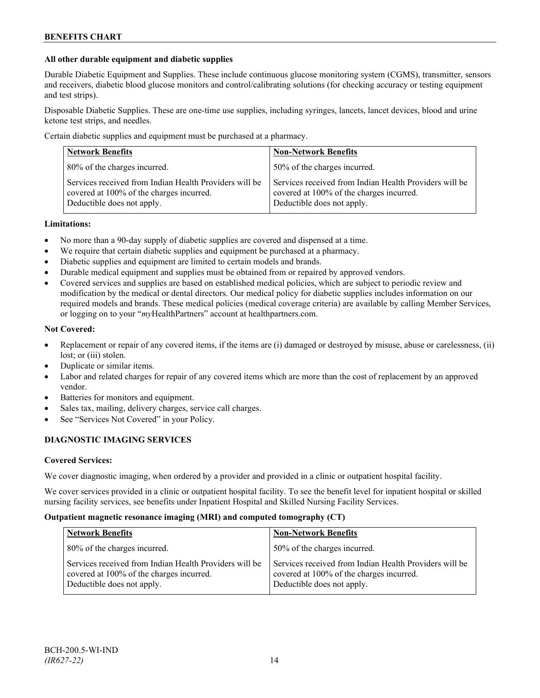### **All other durable equipment and diabetic supplies**

Durable Diabetic Equipment and Supplies. These include continuous glucose monitoring system (CGMS), transmitter, sensors and receivers, diabetic blood glucose monitors and control/calibrating solutions (for checking accuracy or testing equipment and test strips).

Disposable Diabetic Supplies. These are one-time use supplies, including syringes, lancets, lancet devices, blood and urine ketone test strips, and needles.

Certain diabetic supplies and equipment must be purchased at a pharmacy.

| <b>Network Benefits</b>                                                                                                          | <b>Non-Network Benefits</b>                                                                                                      |
|----------------------------------------------------------------------------------------------------------------------------------|----------------------------------------------------------------------------------------------------------------------------------|
| 80% of the charges incurred.                                                                                                     | 50% of the charges incurred.                                                                                                     |
| Services received from Indian Health Providers will be<br>covered at 100% of the charges incurred.<br>Deductible does not apply. | Services received from Indian Health Providers will be<br>covered at 100% of the charges incurred.<br>Deductible does not apply. |

### **Limitations:**

- No more than a 90-day supply of diabetic supplies are covered and dispensed at a time.
- We require that certain diabetic supplies and equipment be purchased at a pharmacy.
- Diabetic supplies and equipment are limited to certain models and brands.
- Durable medical equipment and supplies must be obtained from or repaired by approved vendors.
- Covered services and supplies are based on established medical policies, which are subject to periodic review and modification by the medical or dental directors. Our medical policy for diabetic supplies includes information on our required models and brands. These medical policies (medical coverage criteria) are available by calling Member Services, or logging on to your "*my*HealthPartners" account at healthpartners.com.

### **Not Covered:**

- Replacement or repair of any covered items, if the items are (i) damaged or destroyed by misuse, abuse or carelessness, (ii) lost; or (iii) stolen.
- Duplicate or similar items.
- Labor and related charges for repair of any covered items which are more than the cost of replacement by an approved vendor.
- Batteries for monitors and equipment.
- Sales tax, mailing, delivery charges, service call charges.
- See "Services Not Covered" in your Policy.

### **DIAGNOSTIC IMAGING SERVICES**

#### **Covered Services:**

We cover diagnostic imaging, when ordered by a provider and provided in a clinic or outpatient hospital facility.

We cover services provided in a clinic or outpatient hospital facility. To see the benefit level for inpatient hospital or skilled nursing facility services, see benefits under Inpatient Hospital and Skilled Nursing Facility Services.

#### **Outpatient magnetic resonance imaging (MRI) and computed tomography (CT)**

| <b>Network Benefits</b>                                                                                                          | <b>Non-Network Benefits</b>                                                                                                      |
|----------------------------------------------------------------------------------------------------------------------------------|----------------------------------------------------------------------------------------------------------------------------------|
| 80% of the charges incurred.                                                                                                     | 50% of the charges incurred.                                                                                                     |
| Services received from Indian Health Providers will be<br>covered at 100% of the charges incurred.<br>Deductible does not apply. | Services received from Indian Health Providers will be<br>covered at 100% of the charges incurred.<br>Deductible does not apply. |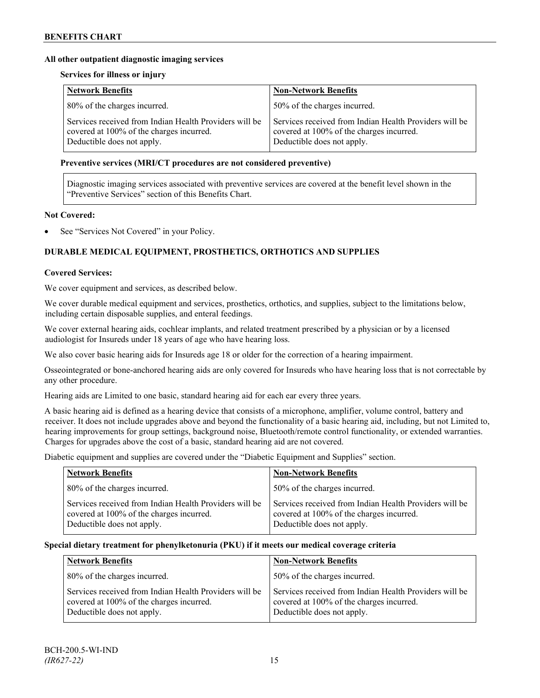### **All other outpatient diagnostic imaging services**

### **Services for illness or injury**

| <b>Network Benefits</b>                                                                                                          | <b>Non-Network Benefits</b>                                                                                                      |
|----------------------------------------------------------------------------------------------------------------------------------|----------------------------------------------------------------------------------------------------------------------------------|
| 80% of the charges incurred.                                                                                                     | 50% of the charges incurred.                                                                                                     |
| Services received from Indian Health Providers will be<br>covered at 100% of the charges incurred.<br>Deductible does not apply. | Services received from Indian Health Providers will be<br>covered at 100% of the charges incurred.<br>Deductible does not apply. |

### **Preventive services (MRI/CT procedures are not considered preventive)**

Diagnostic imaging services associated with preventive services are covered at the benefit level shown in the "Preventive Services" section of this Benefits Chart.

### **Not Covered:**

See "Services Not Covered" in your Policy.

### **DURABLE MEDICAL EQUIPMENT, PROSTHETICS, ORTHOTICS AND SUPPLIES**

### **Covered Services:**

We cover equipment and services, as described below.

We cover durable medical equipment and services, prosthetics, orthotics, and supplies, subject to the limitations below, including certain disposable supplies, and enteral feedings.

We cover external hearing aids, cochlear implants, and related treatment prescribed by a physician or by a licensed audiologist for Insureds under 18 years of age who have hearing loss.

We also cover basic hearing aids for Insureds age 18 or older for the correction of a hearing impairment.

Osseointegrated or bone-anchored hearing aids are only covered for Insureds who have hearing loss that is not correctable by any other procedure.

Hearing aids are Limited to one basic, standard hearing aid for each ear every three years.

A basic hearing aid is defined as a hearing device that consists of a microphone, amplifier, volume control, battery and receiver. It does not include upgrades above and beyond the functionality of a basic hearing aid, including, but not Limited to, hearing improvements for group settings, background noise, Bluetooth/remote control functionality, or extended warranties. Charges for upgrades above the cost of a basic, standard hearing aid are not covered.

Diabetic equipment and supplies are covered under the "Diabetic Equipment and Supplies" section.

| <b>Network Benefits</b>                                                                                                          | <b>Non-Network Benefits</b>                                                                                                      |
|----------------------------------------------------------------------------------------------------------------------------------|----------------------------------------------------------------------------------------------------------------------------------|
| 80% of the charges incurred.                                                                                                     | 50% of the charges incurred.                                                                                                     |
| Services received from Indian Health Providers will be<br>covered at 100% of the charges incurred.<br>Deductible does not apply. | Services received from Indian Health Providers will be<br>covered at 100% of the charges incurred.<br>Deductible does not apply. |

### **Special dietary treatment for phenylketonuria (PKU) if it meets our medical coverage criteria**

| <b>Network Benefits</b>                                                                                                          | <b>Non-Network Benefits</b>                                                                                                      |
|----------------------------------------------------------------------------------------------------------------------------------|----------------------------------------------------------------------------------------------------------------------------------|
| 80% of the charges incurred.                                                                                                     | 50% of the charges incurred.                                                                                                     |
| Services received from Indian Health Providers will be<br>covered at 100% of the charges incurred.<br>Deductible does not apply. | Services received from Indian Health Providers will be<br>covered at 100% of the charges incurred.<br>Deductible does not apply. |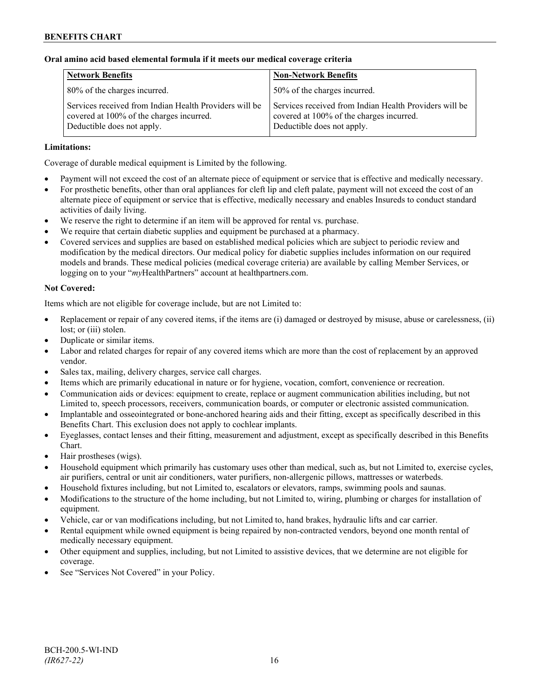### **Oral amino acid based elemental formula if it meets our medical coverage criteria**

| <b>Network Benefits</b>                                                                                                          | <b>Non-Network Benefits</b>                                                                                                      |
|----------------------------------------------------------------------------------------------------------------------------------|----------------------------------------------------------------------------------------------------------------------------------|
| 80% of the charges incurred.                                                                                                     | 50% of the charges incurred.                                                                                                     |
| Services received from Indian Health Providers will be<br>covered at 100% of the charges incurred.<br>Deductible does not apply. | Services received from Indian Health Providers will be<br>covered at 100% of the charges incurred.<br>Deductible does not apply. |

### **Limitations:**

Coverage of durable medical equipment is Limited by the following.

- Payment will not exceed the cost of an alternate piece of equipment or service that is effective and medically necessary.
- For prosthetic benefits, other than oral appliances for cleft lip and cleft palate, payment will not exceed the cost of an alternate piece of equipment or service that is effective, medically necessary and enables Insureds to conduct standard activities of daily living.
- We reserve the right to determine if an item will be approved for rental vs. purchase.
- We require that certain diabetic supplies and equipment be purchased at a pharmacy.
- Covered services and supplies are based on established medical policies which are subject to periodic review and modification by the medical directors. Our medical policy for diabetic supplies includes information on our required models and brands. These medical policies (medical coverage criteria) are available by calling Member Services, or logging on to your "*my*HealthPartners" account at [healthpartners.com.](http://www.healthpartners.com/)

### **Not Covered:**

Items which are not eligible for coverage include, but are not Limited to:

- Replacement or repair of any covered items, if the items are (i) damaged or destroyed by misuse, abuse or carelessness, (ii) lost; or (iii) stolen.
- Duplicate or similar items.
- Labor and related charges for repair of any covered items which are more than the cost of replacement by an approved vendor.
- Sales tax, mailing, delivery charges, service call charges.
- Items which are primarily educational in nature or for hygiene, vocation, comfort, convenience or recreation.
- Communication aids or devices: equipment to create, replace or augment communication abilities including, but not Limited to, speech processors, receivers, communication boards, or computer or electronic assisted communication.
- Implantable and osseointegrated or bone-anchored hearing aids and their fitting, except as specifically described in this Benefits Chart. This exclusion does not apply to cochlear implants.
- Eyeglasses, contact lenses and their fitting, measurement and adjustment, except as specifically described in this Benefits Chart.
- Hair prostheses (wigs).
- Household equipment which primarily has customary uses other than medical, such as, but not Limited to, exercise cycles, air purifiers, central or unit air conditioners, water purifiers, non-allergenic pillows, mattresses or waterbeds.
- Household fixtures including, but not Limited to, escalators or elevators, ramps, swimming pools and saunas.
- Modifications to the structure of the home including, but not Limited to, wiring, plumbing or charges for installation of equipment.
- Vehicle, car or van modifications including, but not Limited to, hand brakes, hydraulic lifts and car carrier.
- Rental equipment while owned equipment is being repaired by non-contracted vendors, beyond one month rental of medically necessary equipment.
- Other equipment and supplies, including, but not Limited to assistive devices, that we determine are not eligible for coverage.
- See "Services Not Covered" in your Policy.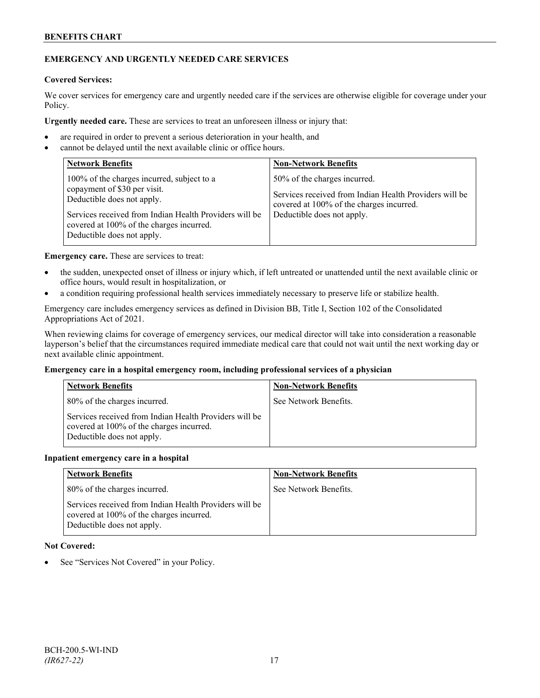### **BENEFITS CHART**

### **EMERGENCY AND URGENTLY NEEDED CARE SERVICES**

### **Covered Services:**

We cover services for emergency care and urgently needed care if the services are otherwise eligible for coverage under your Policy.

**Urgently needed care.** These are services to treat an unforeseen illness or injury that:

- are required in order to prevent a serious deterioration in your health, and
- cannot be delayed until the next available clinic or office hours.

| <b>Network Benefits</b>                                                                                                                                                                                                                      | <b>Non-Network Benefits</b>                                                                                                                                      |
|----------------------------------------------------------------------------------------------------------------------------------------------------------------------------------------------------------------------------------------------|------------------------------------------------------------------------------------------------------------------------------------------------------------------|
| 100% of the charges incurred, subject to a<br>copayment of \$30 per visit.<br>Deductible does not apply.<br>Services received from Indian Health Providers will be<br>covered at 100% of the charges incurred.<br>Deductible does not apply. | 50% of the charges incurred.<br>Services received from Indian Health Providers will be<br>covered at 100% of the charges incurred.<br>Deductible does not apply. |

**Emergency care.** These are services to treat:

- the sudden, unexpected onset of illness or injury which, if left untreated or unattended until the next available clinic or office hours, would result in hospitalization, or
- a condition requiring professional health services immediately necessary to preserve life or stabilize health.

Emergency care includes emergency services as defined in Division BB, Title I, Section 102 of the Consolidated Appropriations Act of 2021.

When reviewing claims for coverage of emergency services, our medical director will take into consideration a reasonable layperson's belief that the circumstances required immediate medical care that could not wait until the next working day or next available clinic appointment.

#### **Emergency care in a hospital emergency room, including professional services of a physician**

| <b>Network Benefits</b>                                                                                                          | <b>Non-Network Benefits</b> |
|----------------------------------------------------------------------------------------------------------------------------------|-----------------------------|
| 80% of the charges incurred.                                                                                                     | See Network Benefits.       |
| Services received from Indian Health Providers will be<br>covered at 100% of the charges incurred.<br>Deductible does not apply. |                             |

#### **Inpatient emergency care in a hospital**

| <b>Network Benefits</b>                                                                                                          | <b>Non-Network Benefits</b> |
|----------------------------------------------------------------------------------------------------------------------------------|-----------------------------|
| 80% of the charges incurred.                                                                                                     | See Network Benefits.       |
| Services received from Indian Health Providers will be<br>covered at 100% of the charges incurred.<br>Deductible does not apply. |                             |

### **Not Covered:**

See "Services Not Covered" in your Policy.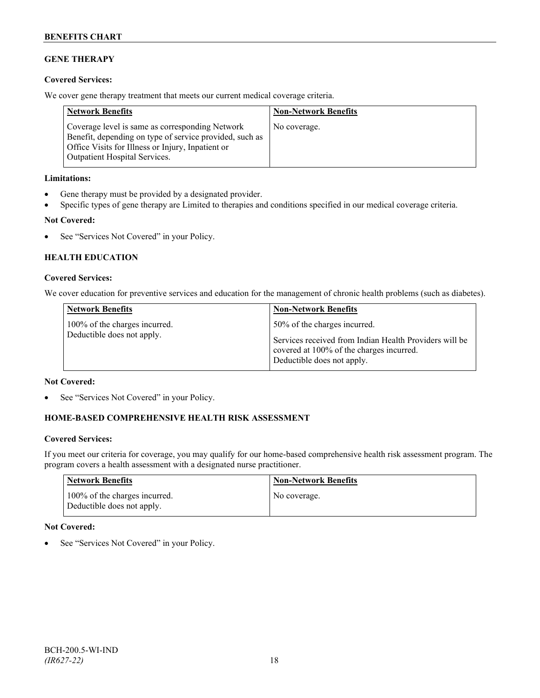# **GENE THERAPY**

### **Covered Services:**

We cover gene therapy treatment that meets our current medical coverage criteria.

| <b>Network Benefits</b>                                                                                                                                                                                 | <b>Non-Network Benefits</b> |
|---------------------------------------------------------------------------------------------------------------------------------------------------------------------------------------------------------|-----------------------------|
| Coverage level is same as corresponding Network<br>Benefit, depending on type of service provided, such as<br>Office Visits for Illness or Injury, Inpatient or<br><b>Outpatient Hospital Services.</b> | No coverage.                |

### **Limitations:**

- Gene therapy must be provided by a designated provider.
- Specific types of gene therapy are Limited to therapies and conditions specified in our medical coverage criteria.

### **Not Covered:**

• See "Services Not Covered" in your Policy.

### **HEALTH EDUCATION**

### **Covered Services:**

We cover education for preventive services and education for the management of chronic health problems (such as diabetes).

| <b>Network Benefits</b>                                     | <b>Non-Network Benefits</b>                                                                                                      |
|-------------------------------------------------------------|----------------------------------------------------------------------------------------------------------------------------------|
| 100% of the charges incurred.<br>Deductible does not apply. | 50% of the charges incurred.                                                                                                     |
|                                                             | Services received from Indian Health Providers will be<br>covered at 100% of the charges incurred.<br>Deductible does not apply. |

### **Not Covered:**

See "Services Not Covered" in your Policy.

### **HOME-BASED COMPREHENSIVE HEALTH RISK ASSESSMENT**

### **Covered Services:**

If you meet our criteria for coverage, you may qualify for our home-based comprehensive health risk assessment program. The program covers a health assessment with a designated nurse practitioner.

| Network Benefits                                            | <b>Non-Network Benefits</b> |
|-------------------------------------------------------------|-----------------------------|
| 100% of the charges incurred.<br>Deductible does not apply. | No coverage.                |

### **Not Covered:**

See "Services Not Covered" in your Policy.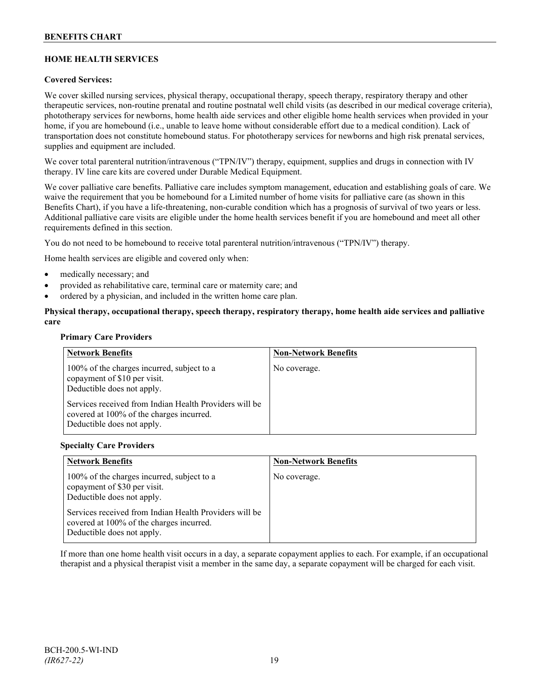### **HOME HEALTH SERVICES**

### **Covered Services:**

We cover skilled nursing services, physical therapy, occupational therapy, speech therapy, respiratory therapy and other therapeutic services, non-routine prenatal and routine postnatal well child visits (as described in our medical coverage criteria), phototherapy services for newborns, home health aide services and other eligible home health services when provided in your home, if you are homebound (i.e., unable to leave home without considerable effort due to a medical condition). Lack of transportation does not constitute homebound status. For phototherapy services for newborns and high risk prenatal services, supplies and equipment are included.

We cover total parenteral nutrition/intravenous ("TPN/IV") therapy, equipment, supplies and drugs in connection with IV therapy. IV line care kits are covered under Durable Medical Equipment.

We cover palliative care benefits. Palliative care includes symptom management, education and establishing goals of care. We waive the requirement that you be homebound for a Limited number of home visits for palliative care (as shown in this Benefits Chart), if you have a life-threatening, non-curable condition which has a prognosis of survival of two years or less. Additional palliative care visits are eligible under the home health services benefit if you are homebound and meet all other requirements defined in this section.

You do not need to be homebound to receive total parenteral nutrition/intravenous ("TPN/IV") therapy.

Home health services are eligible and covered only when:

- medically necessary; and
- provided as rehabilitative care, terminal care or maternity care; and
- ordered by a physician, and included in the written home care plan.

### **Physical therapy, occupational therapy, speech therapy, respiratory therapy, home health aide services and palliative care**

### **Primary Care Providers**

| <b>Network Benefits</b>                                                                                                          | <b>Non-Network Benefits</b> |
|----------------------------------------------------------------------------------------------------------------------------------|-----------------------------|
| 100% of the charges incurred, subject to a<br>copayment of \$10 per visit.<br>Deductible does not apply.                         | No coverage.                |
| Services received from Indian Health Providers will be<br>covered at 100% of the charges incurred.<br>Deductible does not apply. |                             |

### **Specialty Care Providers**

| <b>Network Benefits</b>                                                                                                                                                                                                                      | <b>Non-Network Benefits</b> |
|----------------------------------------------------------------------------------------------------------------------------------------------------------------------------------------------------------------------------------------------|-----------------------------|
| 100% of the charges incurred, subject to a<br>copayment of \$30 per visit.<br>Deductible does not apply.<br>Services received from Indian Health Providers will be<br>covered at 100% of the charges incurred.<br>Deductible does not apply. | No coverage.                |

If more than one home health visit occurs in a day, a separate copayment applies to each. For example, if an occupational therapist and a physical therapist visit a member in the same day, a separate copayment will be charged for each visit.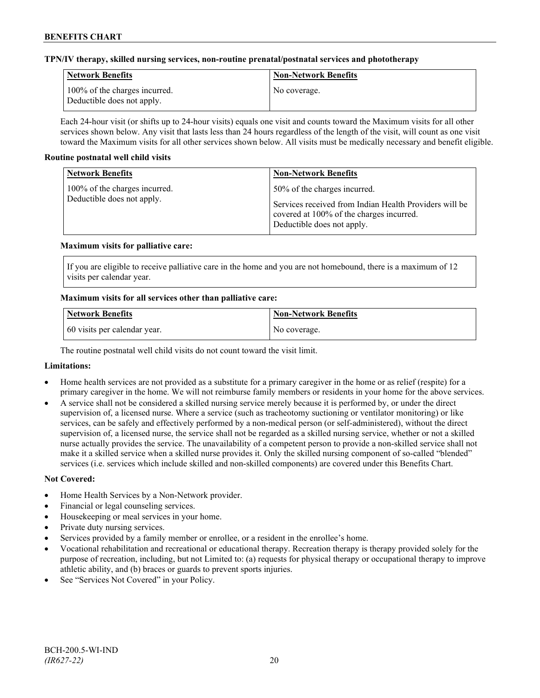### **TPN/IV therapy, skilled nursing services, non-routine prenatal/postnatal services and phototherapy**

| <b>Network Benefits</b>                                     | <b>Non-Network Benefits</b> |
|-------------------------------------------------------------|-----------------------------|
| 100% of the charges incurred.<br>Deductible does not apply. | No coverage.                |

Each 24-hour visit (or shifts up to 24-hour visits) equals one visit and counts toward the Maximum visits for all other services shown below. Any visit that lasts less than 24 hours regardless of the length of the visit, will count as one visit toward the Maximum visits for all other services shown below. All visits must be medically necessary and benefit eligible.

### **Routine postnatal well child visits**

| <b>Network Benefits</b>                                     | <b>Non-Network Benefits</b>                                                                                                                                      |
|-------------------------------------------------------------|------------------------------------------------------------------------------------------------------------------------------------------------------------------|
| 100% of the charges incurred.<br>Deductible does not apply. | 50% of the charges incurred.<br>Services received from Indian Health Providers will be<br>covered at 100% of the charges incurred.<br>Deductible does not apply. |

### **Maximum visits for palliative care:**

If you are eligible to receive palliative care in the home and you are not homebound, there is a maximum of 12 visits per calendar year.

### **Maximum visits for all services other than palliative care:**

| <b>Network Benefits</b>      | <b>Non-Network Benefits</b> |
|------------------------------|-----------------------------|
| 60 visits per calendar year. | No coverage.                |

The routine postnatal well child visits do not count toward the visit limit.

### **Limitations:**

- Home health services are not provided as a substitute for a primary caregiver in the home or as relief (respite) for a primary caregiver in the home. We will not reimburse family members or residents in your home for the above services.
- A service shall not be considered a skilled nursing service merely because it is performed by, or under the direct supervision of, a licensed nurse. Where a service (such as tracheotomy suctioning or ventilator monitoring) or like services, can be safely and effectively performed by a non-medical person (or self-administered), without the direct supervision of, a licensed nurse, the service shall not be regarded as a skilled nursing service, whether or not a skilled nurse actually provides the service. The unavailability of a competent person to provide a non-skilled service shall not make it a skilled service when a skilled nurse provides it. Only the skilled nursing component of so-called "blended" services (i.e. services which include skilled and non-skilled components) are covered under this Benefits Chart.

#### **Not Covered:**

- Home Health Services by a Non-Network provider.
- Financial or legal counseling services.
- Housekeeping or meal services in your home.
- Private duty nursing services.
- Services provided by a family member or enrollee, or a resident in the enrollee's home.
- Vocational rehabilitation and recreational or educational therapy. Recreation therapy is therapy provided solely for the purpose of recreation, including, but not Limited to: (a) requests for physical therapy or occupational therapy to improve athletic ability, and (b) braces or guards to prevent sports injuries.
- See "Services Not Covered" in your Policy.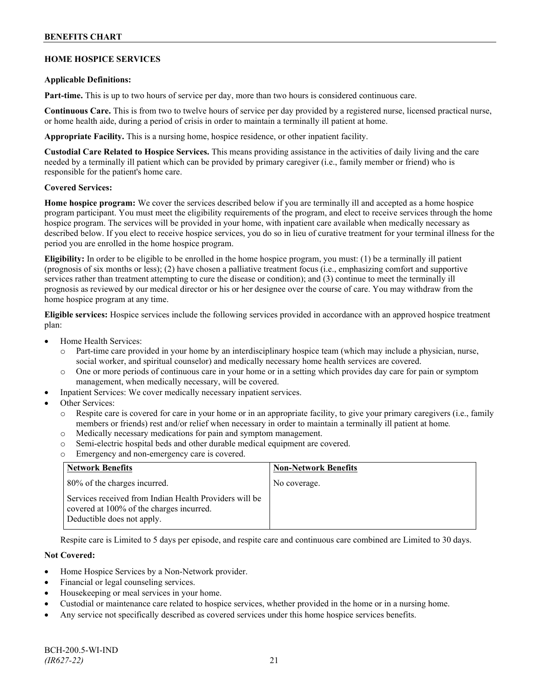### **BENEFITS CHART**

### **HOME HOSPICE SERVICES**

#### **Applicable Definitions:**

**Part-time.** This is up to two hours of service per day, more than two hours is considered continuous care.

**Continuous Care.** This is from two to twelve hours of service per day provided by a registered nurse, licensed practical nurse, or home health aide, during a period of crisis in order to maintain a terminally ill patient at home.

**Appropriate Facility.** This is a nursing home, hospice residence, or other inpatient facility.

**Custodial Care Related to Hospice Services.** This means providing assistance in the activities of daily living and the care needed by a terminally ill patient which can be provided by primary caregiver (i.e., family member or friend) who is responsible for the patient's home care.

### **Covered Services:**

**Home hospice program:** We cover the services described below if you are terminally ill and accepted as a home hospice program participant. You must meet the eligibility requirements of the program, and elect to receive services through the home hospice program. The services will be provided in your home, with inpatient care available when medically necessary as described below. If you elect to receive hospice services, you do so in lieu of curative treatment for your terminal illness for the period you are enrolled in the home hospice program.

**Eligibility:** In order to be eligible to be enrolled in the home hospice program, you must: (1) be a terminally ill patient (prognosis of six months or less); (2) have chosen a palliative treatment focus (i.e., emphasizing comfort and supportive services rather than treatment attempting to cure the disease or condition); and (3) continue to meet the terminally ill prognosis as reviewed by our medical director or his or her designee over the course of care. You may withdraw from the home hospice program at any time.

**Eligible services:** Hospice services include the following services provided in accordance with an approved hospice treatment plan:

- Home Health Services:
	- o Part-time care provided in your home by an interdisciplinary hospice team (which may include a physician, nurse, social worker, and spiritual counselor) and medically necessary home health services are covered.
	- o One or more periods of continuous care in your home or in a setting which provides day care for pain or symptom management, when medically necessary, will be covered.
- Inpatient Services: We cover medically necessary inpatient services.
- Other Services:
	- Respite care is covered for care in your home or in an appropriate facility, to give your primary caregivers (i.e., family members or friends) rest and/or relief when necessary in order to maintain a terminally ill patient at home*.*
	- o Medically necessary medications for pain and symptom management.
	- o Semi-electric hospital beds and other durable medical equipment are covered.
	- o Emergency and non-emergency care is covered.

| <b>Network Benefits</b>                                                                                                          | <b>Non-Network Benefits</b> |
|----------------------------------------------------------------------------------------------------------------------------------|-----------------------------|
| 80% of the charges incurred.                                                                                                     | No coverage.                |
| Services received from Indian Health Providers will be<br>covered at 100% of the charges incurred.<br>Deductible does not apply. |                             |

Respite care is Limited to 5 days per episode, and respite care and continuous care combined are Limited to 30 days.

### **Not Covered:**

- Home Hospice Services by a Non-Network provider.
- Financial or legal counseling services.
- Housekeeping or meal services in your home.
- Custodial or maintenance care related to hospice services, whether provided in the home or in a nursing home.
- Any service not specifically described as covered services under this home hospice services benefits.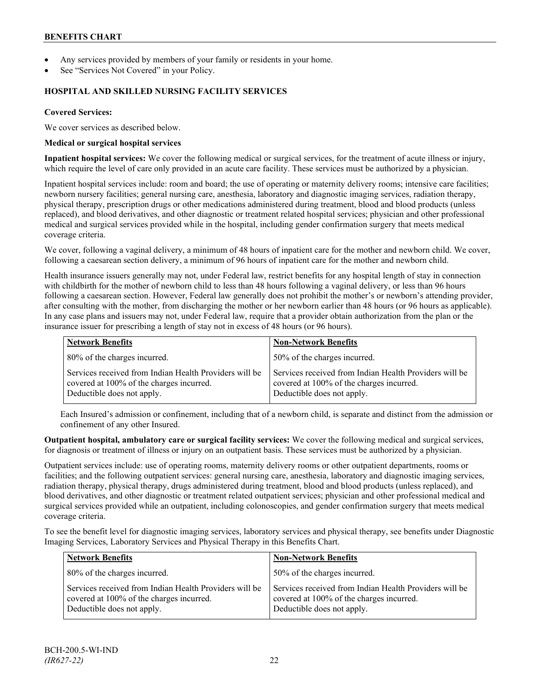- Any services provided by members of your family or residents in your home.
- See "Services Not Covered" in your Policy.

### **HOSPITAL AND SKILLED NURSING FACILITY SERVICES**

### **Covered Services:**

We cover services as described below.

### **Medical or surgical hospital services**

**Inpatient hospital services:** We cover the following medical or surgical services, for the treatment of acute illness or injury, which require the level of care only provided in an acute care facility. These services must be authorized by a physician.

Inpatient hospital services include: room and board; the use of operating or maternity delivery rooms; intensive care facilities; newborn nursery facilities; general nursing care, anesthesia, laboratory and diagnostic imaging services, radiation therapy, physical therapy, prescription drugs or other medications administered during treatment, blood and blood products (unless replaced), and blood derivatives, and other diagnostic or treatment related hospital services; physician and other professional medical and surgical services provided while in the hospital, including gender confirmation surgery that meets medical coverage criteria.

We cover, following a vaginal delivery, a minimum of 48 hours of inpatient care for the mother and newborn child. We cover, following a caesarean section delivery, a minimum of 96 hours of inpatient care for the mother and newborn child.

Health insurance issuers generally may not, under Federal law, restrict benefits for any hospital length of stay in connection with childbirth for the mother of newborn child to less than 48 hours following a vaginal delivery, or less than 96 hours following a caesarean section. However, Federal law generally does not prohibit the mother's or newborn's attending provider, after consulting with the mother, from discharging the mother or her newborn earlier than 48 hours (or 96 hours as applicable). In any case plans and issuers may not, under Federal law, require that a provider obtain authorization from the plan or the insurance issuer for prescribing a length of stay not in excess of 48 hours (or 96 hours).

| <b>Network Benefits</b>                                                                                                          | <b>Non-Network Benefits</b>                                                                                                      |
|----------------------------------------------------------------------------------------------------------------------------------|----------------------------------------------------------------------------------------------------------------------------------|
| 80% of the charges incurred.                                                                                                     | 50% of the charges incurred.                                                                                                     |
| Services received from Indian Health Providers will be<br>covered at 100% of the charges incurred.<br>Deductible does not apply. | Services received from Indian Health Providers will be<br>covered at 100% of the charges incurred.<br>Deductible does not apply. |

Each Insured's admission or confinement, including that of a newborn child, is separate and distinct from the admission or confinement of any other Insured.

**Outpatient hospital, ambulatory care or surgical facility services:** We cover the following medical and surgical services, for diagnosis or treatment of illness or injury on an outpatient basis. These services must be authorized by a physician.

Outpatient services include: use of operating rooms, maternity delivery rooms or other outpatient departments, rooms or facilities; and the following outpatient services: general nursing care, anesthesia, laboratory and diagnostic imaging services, radiation therapy, physical therapy, drugs administered during treatment, blood and blood products (unless replaced), and blood derivatives, and other diagnostic or treatment related outpatient services; physician and other professional medical and surgical services provided while an outpatient, including colonoscopies, and gender confirmation surgery that meets medical coverage criteria.

To see the benefit level for diagnostic imaging services, laboratory services and physical therapy, see benefits under Diagnostic Imaging Services, Laboratory Services and Physical Therapy in this Benefits Chart.

| <b>Network Benefits</b>                                                                                                          | <b>Non-Network Benefits</b>                                                                                                      |
|----------------------------------------------------------------------------------------------------------------------------------|----------------------------------------------------------------------------------------------------------------------------------|
| 80% of the charges incurred.                                                                                                     | 50% of the charges incurred.                                                                                                     |
| Services received from Indian Health Providers will be<br>covered at 100% of the charges incurred.<br>Deductible does not apply. | Services received from Indian Health Providers will be<br>covered at 100% of the charges incurred.<br>Deductible does not apply. |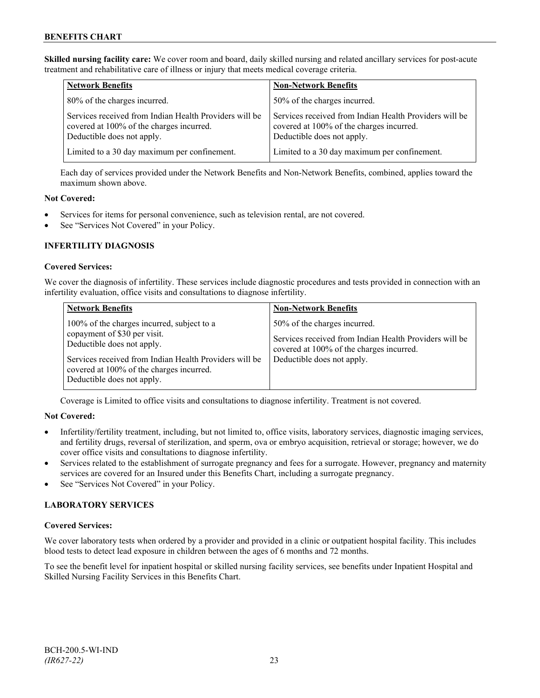**Skilled nursing facility care:** We cover room and board, daily skilled nursing and related ancillary services for post-acute treatment and rehabilitative care of illness or injury that meets medical coverage criteria.

| <b>Network Benefits</b>                                                                                                          | <b>Non-Network Benefits</b>                                                                                                      |
|----------------------------------------------------------------------------------------------------------------------------------|----------------------------------------------------------------------------------------------------------------------------------|
| 80% of the charges incurred.                                                                                                     | 50% of the charges incurred.                                                                                                     |
| Services received from Indian Health Providers will be<br>covered at 100% of the charges incurred.<br>Deductible does not apply. | Services received from Indian Health Providers will be<br>covered at 100% of the charges incurred.<br>Deductible does not apply. |
| Limited to a 30 day maximum per confinement.                                                                                     | Limited to a 30 day maximum per confinement.                                                                                     |

Each day of services provided under the Network Benefits and Non-Network Benefits, combined, applies toward the maximum shown above.

### **Not Covered:**

- Services for items for personal convenience, such as television rental, are not covered.
- See "Services Not Covered" in your Policy.

### **INFERTILITY DIAGNOSIS**

### **Covered Services:**

We cover the diagnosis of infertility. These services include diagnostic procedures and tests provided in connection with an infertility evaluation, office visits and consultations to diagnose infertility.

| <b>Network Benefits</b>                                                                                                                                                                                                                      | <b>Non-Network Benefits</b>                                                                                                                                      |
|----------------------------------------------------------------------------------------------------------------------------------------------------------------------------------------------------------------------------------------------|------------------------------------------------------------------------------------------------------------------------------------------------------------------|
| 100% of the charges incurred, subject to a<br>copayment of \$30 per visit.<br>Deductible does not apply.<br>Services received from Indian Health Providers will be<br>covered at 100% of the charges incurred.<br>Deductible does not apply. | 50% of the charges incurred.<br>Services received from Indian Health Providers will be<br>covered at 100% of the charges incurred.<br>Deductible does not apply. |

Coverage is Limited to office visits and consultations to diagnose infertility. Treatment is not covered.

### **Not Covered:**

- Infertility/fertility treatment, including, but not limited to, office visits, laboratory services, diagnostic imaging services, and fertility drugs, reversal of sterilization, and sperm, ova or embryo acquisition, retrieval or storage; however, we do cover office visits and consultations to diagnose infertility.
- Services related to the establishment of surrogate pregnancy and fees for a surrogate. However, pregnancy and maternity services are covered for an Insured under this Benefits Chart, including a surrogate pregnancy.
- See "Services Not Covered" in your Policy.

### **LABORATORY SERVICES**

### **Covered Services:**

We cover laboratory tests when ordered by a provider and provided in a clinic or outpatient hospital facility. This includes blood tests to detect lead exposure in children between the ages of 6 months and 72 months.

To see the benefit level for inpatient hospital or skilled nursing facility services, see benefits under Inpatient Hospital and Skilled Nursing Facility Services in this Benefits Chart.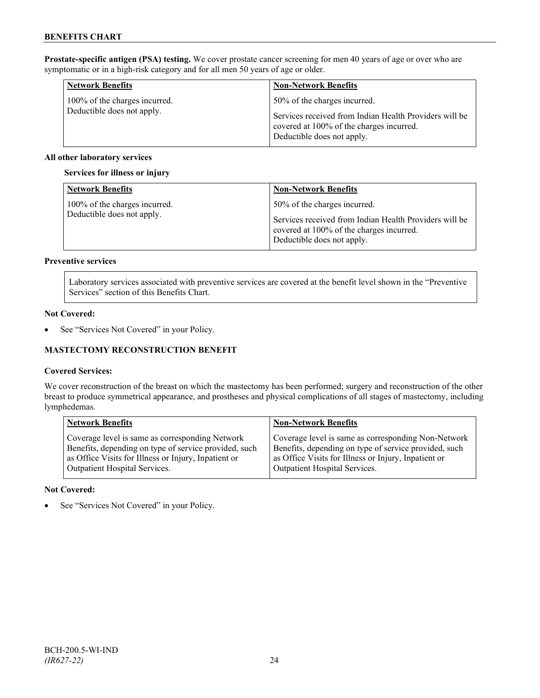**Prostate-specific antigen (PSA) testing.** We cover prostate cancer screening for men 40 years of age or over who are symptomatic or in a high-risk category and for all men 50 years of age or older.

| <b>Network Benefits</b>       | <b>Non-Network Benefits</b>                                                                                                      |
|-------------------------------|----------------------------------------------------------------------------------------------------------------------------------|
| 100% of the charges incurred. | 50% of the charges incurred.                                                                                                     |
| Deductible does not apply.    | Services received from Indian Health Providers will be<br>covered at 100% of the charges incurred.<br>Deductible does not apply. |

### **All other laboratory services**

### **Services for illness or injury**

| <b>Network Benefits</b>                                     | <b>Non-Network Benefits</b>                                                                                                                                      |
|-------------------------------------------------------------|------------------------------------------------------------------------------------------------------------------------------------------------------------------|
| 100% of the charges incurred.<br>Deductible does not apply. | 50% of the charges incurred.<br>Services received from Indian Health Providers will be<br>covered at 100% of the charges incurred.<br>Deductible does not apply. |

### **Preventive services**

Laboratory services associated with preventive services are covered at the benefit level shown in the "Preventive Services" section of this Benefits Chart.

### **Not Covered:**

• See "Services Not Covered" in your Policy.

### **MASTECTOMY RECONSTRUCTION BENEFIT**

### **Covered Services:**

We cover reconstruction of the breast on which the mastectomy has been performed; surgery and reconstruction of the other breast to produce symmetrical appearance, and prostheses and physical complications of all stages of mastectomy, including lymphedemas.

| <b>Network Benefits</b>                               | <b>Non-Network Benefits</b>                           |
|-------------------------------------------------------|-------------------------------------------------------|
| Coverage level is same as corresponding Network       | Coverage level is same as corresponding Non-Network   |
| Benefits, depending on type of service provided, such | Benefits, depending on type of service provided, such |
| as Office Visits for Illness or Injury, Inpatient or  | as Office Visits for Illness or Injury, Inpatient or  |
| Outpatient Hospital Services.                         | <b>Outpatient Hospital Services.</b>                  |

### **Not Covered:**

See "Services Not Covered" in your Policy.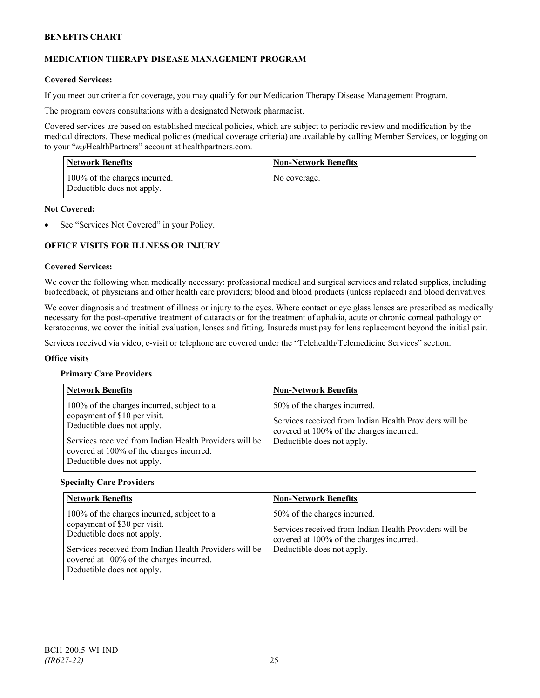### **MEDICATION THERAPY DISEASE MANAGEMENT PROGRAM**

### **Covered Services:**

If you meet our criteria for coverage, you may qualify for our Medication Therapy Disease Management Program.

The program covers consultations with a designated Network pharmacist.

Covered services are based on established medical policies, which are subject to periodic review and modification by the medical directors. These medical policies (medical coverage criteria) are available by calling Member Services, or logging on to your "*my*HealthPartners" account at [healthpartners.com.](http://www.healthpartners.com/)

| <b>Network Benefits</b>                                     | <b>Non-Network Benefits</b> |
|-------------------------------------------------------------|-----------------------------|
| 100% of the charges incurred.<br>Deductible does not apply. | No coverage.                |

### **Not Covered:**

See "Services Not Covered" in your Policy.

### **OFFICE VISITS FOR ILLNESS OR INJURY**

### **Covered Services:**

We cover the following when medically necessary: professional medical and surgical services and related supplies, including biofeedback, of physicians and other health care providers; blood and blood products (unless replaced) and blood derivatives.

We cover diagnosis and treatment of illness or injury to the eyes. Where contact or eye glass lenses are prescribed as medically necessary for the post-operative treatment of cataracts or for the treatment of aphakia, acute or chronic corneal pathology or keratoconus, we cover the initial evaluation, lenses and fitting. Insureds must pay for lens replacement beyond the initial pair.

Services received via video, e-visit or telephone are covered under the "Telehealth/Telemedicine Services" section.

#### **Office visits**

### **Primary Care Providers**

| <b>Network Benefits</b>                                                                                                                                                                                                                      | <b>Non-Network Benefits</b>                                                                                                                                      |
|----------------------------------------------------------------------------------------------------------------------------------------------------------------------------------------------------------------------------------------------|------------------------------------------------------------------------------------------------------------------------------------------------------------------|
| 100% of the charges incurred, subject to a<br>copayment of \$10 per visit.<br>Deductible does not apply.<br>Services received from Indian Health Providers will be<br>covered at 100% of the charges incurred.<br>Deductible does not apply. | 50% of the charges incurred.<br>Services received from Indian Health Providers will be<br>covered at 100% of the charges incurred.<br>Deductible does not apply. |

#### **Specialty Care Providers**

| <b>Network Benefits</b>                                                                                                                                                                                                                      | <b>Non-Network Benefits</b>                                                                                                                                      |
|----------------------------------------------------------------------------------------------------------------------------------------------------------------------------------------------------------------------------------------------|------------------------------------------------------------------------------------------------------------------------------------------------------------------|
| 100% of the charges incurred, subject to a<br>copayment of \$30 per visit.<br>Deductible does not apply.<br>Services received from Indian Health Providers will be<br>covered at 100% of the charges incurred.<br>Deductible does not apply. | 50% of the charges incurred.<br>Services received from Indian Health Providers will be<br>covered at 100% of the charges incurred.<br>Deductible does not apply. |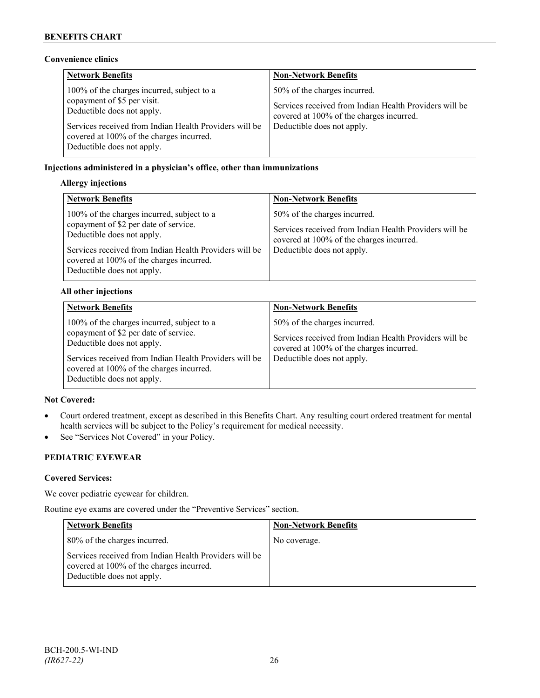### **Convenience clinics**

| <b>Network Benefits</b>                                                                                                                                                                                                                     | <b>Non-Network Benefits</b>                                                                                                                                      |
|---------------------------------------------------------------------------------------------------------------------------------------------------------------------------------------------------------------------------------------------|------------------------------------------------------------------------------------------------------------------------------------------------------------------|
| 100% of the charges incurred, subject to a<br>copayment of \$5 per visit.<br>Deductible does not apply.<br>Services received from Indian Health Providers will be<br>covered at 100% of the charges incurred.<br>Deductible does not apply. | 50% of the charges incurred.<br>Services received from Indian Health Providers will be<br>covered at 100% of the charges incurred.<br>Deductible does not apply. |

### **Injections administered in a physician's office, other than immunizations**

### **Allergy injections**

| <b>Network Benefits</b>                                                                                                                                                                                                                               | <b>Non-Network Benefits</b>                                                                                                                                      |
|-------------------------------------------------------------------------------------------------------------------------------------------------------------------------------------------------------------------------------------------------------|------------------------------------------------------------------------------------------------------------------------------------------------------------------|
| 100% of the charges incurred, subject to a<br>copayment of \$2 per date of service.<br>Deductible does not apply.<br>Services received from Indian Health Providers will be<br>covered at 100% of the charges incurred.<br>Deductible does not apply. | 50% of the charges incurred.<br>Services received from Indian Health Providers will be<br>covered at 100% of the charges incurred.<br>Deductible does not apply. |

### **All other injections**

| <b>Network Benefits</b>                                                                                                                                                                                                                               | <b>Non-Network Benefits</b>                                                                                                                                      |
|-------------------------------------------------------------------------------------------------------------------------------------------------------------------------------------------------------------------------------------------------------|------------------------------------------------------------------------------------------------------------------------------------------------------------------|
| 100% of the charges incurred, subject to a<br>copayment of \$2 per date of service.<br>Deductible does not apply.<br>Services received from Indian Health Providers will be<br>covered at 100% of the charges incurred.<br>Deductible does not apply. | 50% of the charges incurred.<br>Services received from Indian Health Providers will be<br>covered at 100% of the charges incurred.<br>Deductible does not apply. |

### **Not Covered:**

- Court ordered treatment, except as described in this Benefits Chart. Any resulting court ordered treatment for mental health services will be subject to the Policy's requirement for medical necessity.
- See "Services Not Covered" in your Policy.

# **PEDIATRIC EYEWEAR**

### **Covered Services:**

We cover pediatric eyewear for children.

Routine eye exams are covered under the "Preventive Services" section.

| <b>Network Benefits</b>                                                                                                          | <b>Non-Network Benefits</b> |
|----------------------------------------------------------------------------------------------------------------------------------|-----------------------------|
| 80% of the charges incurred.                                                                                                     | No coverage.                |
| Services received from Indian Health Providers will be<br>covered at 100% of the charges incurred.<br>Deductible does not apply. |                             |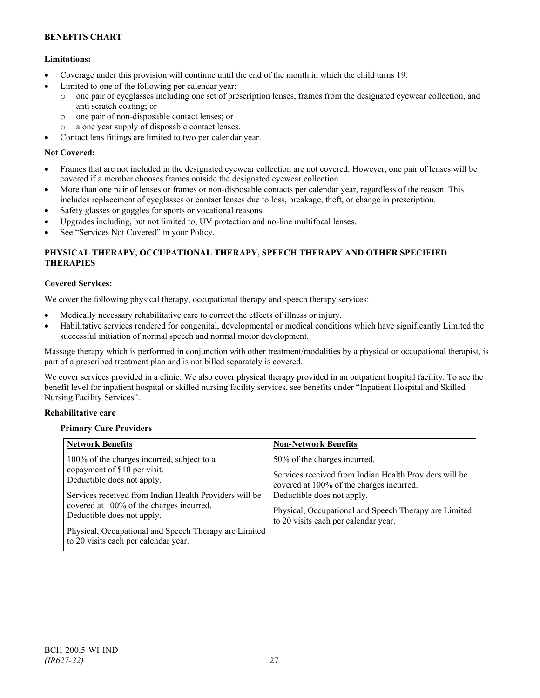### **Limitations:**

- Coverage under this provision will continue until the end of the month in which the child turns 19.
- Limited to one of the following per calendar year:
	- o one pair of eyeglasses including one set of prescription lenses, frames from the designated eyewear collection, and anti scratch coating; or
	- o one pair of non-disposable contact lenses; or
	- o a one year supply of disposable contact lenses.
- Contact lens fittings are limited to two per calendar year.

### **Not Covered:**

- Frames that are not included in the designated eyewear collection are not covered. However, one pair of lenses will be covered if a member chooses frames outside the designated eyewear collection.
- More than one pair of lenses or frames or non-disposable contacts per calendar year, regardless of the reason. This includes replacement of eyeglasses or contact lenses due to loss, breakage, theft, or change in prescription.
- Safety glasses or goggles for sports or vocational reasons.
- Upgrades including, but not limited to, UV protection and no-line multifocal lenses.
- See "Services Not Covered" in your Policy.

### **PHYSICAL THERAPY, OCCUPATIONAL THERAPY, SPEECH THERAPY AND OTHER SPECIFIED THERAPIES**

### **Covered Services:**

We cover the following physical therapy, occupational therapy and speech therapy services:

- Medically necessary rehabilitative care to correct the effects of illness or injury.
- Habilitative services rendered for congenital, developmental or medical conditions which have significantly Limited the successful initiation of normal speech and normal motor development.

Massage therapy which is performed in conjunction with other treatment/modalities by a physical or occupational therapist, is part of a prescribed treatment plan and is not billed separately is covered.

We cover services provided in a clinic. We also cover physical therapy provided in an outpatient hospital facility. To see the benefit level for inpatient hospital or skilled nursing facility services, see benefits under "Inpatient Hospital and Skilled Nursing Facility Services".

### **Rehabilitative care**

### **Primary Care Providers**

| <b>Network Benefits</b>                                                                                                                                                                                                                                                                                                                       | <b>Non-Network Benefits</b>                                                                                                                                                                                                                                       |
|-----------------------------------------------------------------------------------------------------------------------------------------------------------------------------------------------------------------------------------------------------------------------------------------------------------------------------------------------|-------------------------------------------------------------------------------------------------------------------------------------------------------------------------------------------------------------------------------------------------------------------|
| 100% of the charges incurred, subject to a<br>copayment of \$10 per visit.<br>Deductible does not apply.<br>Services received from Indian Health Providers will be<br>covered at 100% of the charges incurred.<br>Deductible does not apply.<br>Physical, Occupational and Speech Therapy are Limited<br>to 20 visits each per calendar year. | 50% of the charges incurred.<br>Services received from Indian Health Providers will be<br>covered at 100% of the charges incurred.<br>Deductible does not apply.<br>Physical, Occupational and Speech Therapy are Limited<br>to 20 visits each per calendar year. |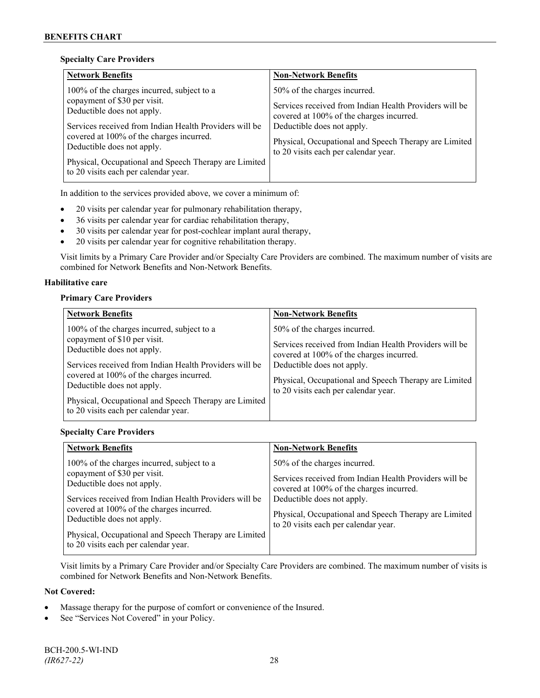### **Specialty Care Providers**

| <b>Network Benefits</b>                                                                                                                                                                                                                                                                                                                       | <b>Non-Network Benefits</b>                                                                                                                                                                                                                                       |
|-----------------------------------------------------------------------------------------------------------------------------------------------------------------------------------------------------------------------------------------------------------------------------------------------------------------------------------------------|-------------------------------------------------------------------------------------------------------------------------------------------------------------------------------------------------------------------------------------------------------------------|
| 100% of the charges incurred, subject to a<br>copayment of \$30 per visit.<br>Deductible does not apply.<br>Services received from Indian Health Providers will be<br>covered at 100% of the charges incurred.<br>Deductible does not apply.<br>Physical, Occupational and Speech Therapy are Limited<br>to 20 visits each per calendar year. | 50% of the charges incurred.<br>Services received from Indian Health Providers will be<br>covered at 100% of the charges incurred.<br>Deductible does not apply.<br>Physical, Occupational and Speech Therapy are Limited<br>to 20 visits each per calendar year. |

In addition to the services provided above, we cover a minimum of:

- 20 visits per calendar year for pulmonary rehabilitation therapy,
- 36 visits per calendar year for cardiac rehabilitation therapy,
- 30 visits per calendar year for post-cochlear implant aural therapy,
- 20 visits per calendar year for cognitive rehabilitation therapy.

Visit limits by a Primary Care Provider and/or Specialty Care Providers are combined. The maximum number of visits are combined for Network Benefits and Non-Network Benefits.

### **Habilitative care**

### **Primary Care Providers**

| <b>Network Benefits</b>                                                                                                                                                                                                                      | <b>Non-Network Benefits</b>                                                                                                                                                                                                                                       |
|----------------------------------------------------------------------------------------------------------------------------------------------------------------------------------------------------------------------------------------------|-------------------------------------------------------------------------------------------------------------------------------------------------------------------------------------------------------------------------------------------------------------------|
| 100% of the charges incurred, subject to a<br>copayment of \$10 per visit.<br>Deductible does not apply.<br>Services received from Indian Health Providers will be<br>covered at 100% of the charges incurred.<br>Deductible does not apply. | 50% of the charges incurred.<br>Services received from Indian Health Providers will be<br>covered at 100% of the charges incurred.<br>Deductible does not apply.<br>Physical, Occupational and Speech Therapy are Limited<br>to 20 visits each per calendar year. |
| Physical, Occupational and Speech Therapy are Limited<br>to 20 visits each per calendar year.                                                                                                                                                |                                                                                                                                                                                                                                                                   |

### **Specialty Care Providers**

Visit limits by a Primary Care Provider and/or Specialty Care Providers are combined. The maximum number of visits is combined for Network Benefits and Non-Network Benefits.

### **Not Covered:**

- Massage therapy for the purpose of comfort or convenience of the Insured.
- See "Services Not Covered" in your Policy.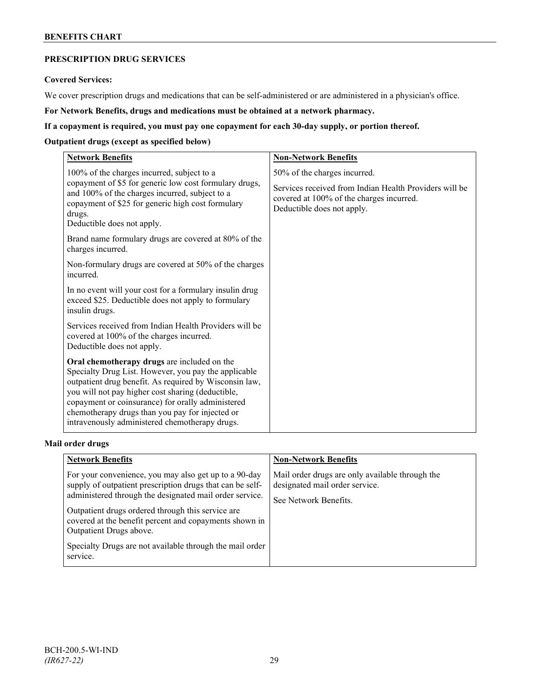### **BENEFITS CHART**

# **PRESCRIPTION DRUG SERVICES**

### **Covered Services:**

We cover prescription drugs and medications that can be self-administered or are administered in a physician's office.

**For Network Benefits, drugs and medications must be obtained at a network pharmacy.**

### **If a copayment is required, you must pay one copayment for each 30-day supply, or portion thereof.**

### **Outpatient drugs (except as specified below)**

| <b>Network Benefits</b>                                                                                                                                                                                                                                                                                                                                                      | <b>Non-Network Benefits</b>                                                                                                      |
|------------------------------------------------------------------------------------------------------------------------------------------------------------------------------------------------------------------------------------------------------------------------------------------------------------------------------------------------------------------------------|----------------------------------------------------------------------------------------------------------------------------------|
| 100% of the charges incurred, subject to a                                                                                                                                                                                                                                                                                                                                   | 50% of the charges incurred.                                                                                                     |
| copayment of \$5 for generic low cost formulary drugs,<br>and 100% of the charges incurred, subject to a<br>copayment of \$25 for generic high cost formulary<br>drugs.<br>Deductible does not apply.                                                                                                                                                                        | Services received from Indian Health Providers will be<br>covered at 100% of the charges incurred.<br>Deductible does not apply. |
| Brand name formulary drugs are covered at 80% of the<br>charges incurred.                                                                                                                                                                                                                                                                                                    |                                                                                                                                  |
| Non-formulary drugs are covered at 50% of the charges<br>incurred.                                                                                                                                                                                                                                                                                                           |                                                                                                                                  |
| In no event will your cost for a formulary insulin drug<br>exceed \$25. Deductible does not apply to formulary<br>insulin drugs.                                                                                                                                                                                                                                             |                                                                                                                                  |
| Services received from Indian Health Providers will be<br>covered at 100% of the charges incurred.<br>Deductible does not apply.                                                                                                                                                                                                                                             |                                                                                                                                  |
| Oral chemotherapy drugs are included on the<br>Specialty Drug List. However, you pay the applicable<br>outpatient drug benefit. As required by Wisconsin law,<br>you will not pay higher cost sharing (deductible,<br>copayment or coinsurance) for orally administered<br>chemotherapy drugs than you pay for injected or<br>intravenously administered chemotherapy drugs. |                                                                                                                                  |

### **Mail order drugs**

| <b>Network Benefits</b>                                                                                                                                                                                                                                                                                                                                                                         | <b>Non-Network Benefits</b>                                                                                |
|-------------------------------------------------------------------------------------------------------------------------------------------------------------------------------------------------------------------------------------------------------------------------------------------------------------------------------------------------------------------------------------------------|------------------------------------------------------------------------------------------------------------|
| For your convenience, you may also get up to a 90-day<br>supply of outpatient prescription drugs that can be self-<br>administered through the designated mail order service.<br>Outpatient drugs ordered through this service are<br>covered at the benefit percent and copayments shown in<br>Outpatient Drugs above.<br>Specialty Drugs are not available through the mail order<br>service. | Mail order drugs are only available through the<br>designated mail order service.<br>See Network Benefits. |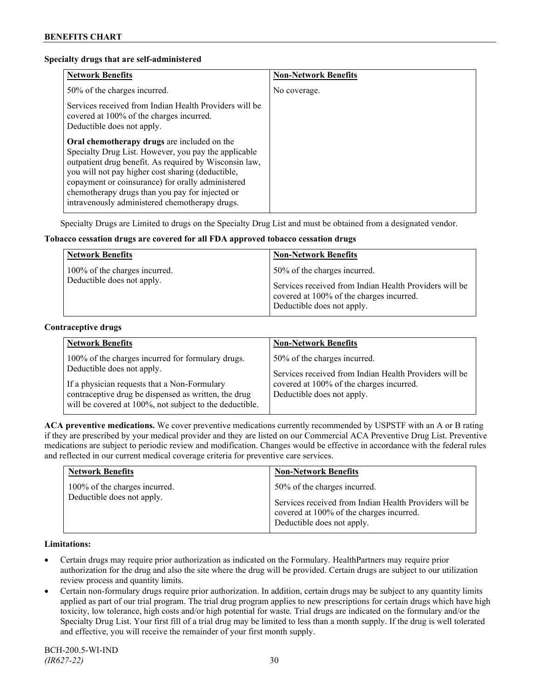### **Specialty drugs that are self-administered**

| <b>Network Benefits</b>                                                                                                                                                                                                                                                                                                                                                      | <b>Non-Network Benefits</b> |
|------------------------------------------------------------------------------------------------------------------------------------------------------------------------------------------------------------------------------------------------------------------------------------------------------------------------------------------------------------------------------|-----------------------------|
| 50% of the charges incurred.                                                                                                                                                                                                                                                                                                                                                 | No coverage.                |
| Services received from Indian Health Providers will be<br>covered at 100% of the charges incurred.<br>Deductible does not apply.                                                                                                                                                                                                                                             |                             |
| Oral chemotherapy drugs are included on the<br>Specialty Drug List. However, you pay the applicable<br>outpatient drug benefit. As required by Wisconsin law,<br>you will not pay higher cost sharing (deductible,<br>copayment or coinsurance) for orally administered<br>chemotherapy drugs than you pay for injected or<br>intravenously administered chemotherapy drugs. |                             |

Specialty Drugs are Limited to drugs on the Specialty Drug List and must be obtained from a designated vendor.

### **Tobacco cessation drugs are covered for all FDA approved tobacco cessation drugs**

| <b>Network Benefits</b>                                     | <b>Non-Network Benefits</b>                                                                                                                                      |
|-------------------------------------------------------------|------------------------------------------------------------------------------------------------------------------------------------------------------------------|
| 100% of the charges incurred.<br>Deductible does not apply. | 50% of the charges incurred.<br>Services received from Indian Health Providers will be<br>covered at 100% of the charges incurred.<br>Deductible does not apply. |

#### **Contraceptive drugs**

| <b>Network Benefits</b>                                                                                                                                                                                                                            | <b>Non-Network Benefits</b>                                                                                                                                      |
|----------------------------------------------------------------------------------------------------------------------------------------------------------------------------------------------------------------------------------------------------|------------------------------------------------------------------------------------------------------------------------------------------------------------------|
| 100% of the charges incurred for formulary drugs.<br>Deductible does not apply.<br>If a physician requests that a Non-Formulary<br>contraceptive drug be dispensed as written, the drug<br>will be covered at 100%, not subject to the deductible. | 50% of the charges incurred.<br>Services received from Indian Health Providers will be<br>covered at 100% of the charges incurred.<br>Deductible does not apply. |

**ACA preventive medications.** We cover preventive medications currently recommended by USPSTF with an A or B rating if they are prescribed by your medical provider and they are listed on our Commercial ACA Preventive Drug List. Preventive medications are subject to periodic review and modification. Changes would be effective in accordance with the federal rules and reflected in our current medical coverage criteria for preventive care services.

| <b>Network Benefits</b>       | <b>Non-Network Benefits</b>                                                                                                      |
|-------------------------------|----------------------------------------------------------------------------------------------------------------------------------|
| 100% of the charges incurred. | 50% of the charges incurred.                                                                                                     |
| Deductible does not apply.    | Services received from Indian Health Providers will be<br>covered at 100% of the charges incurred.<br>Deductible does not apply. |

### **Limitations:**

- Certain drugs may require prior authorization as indicated on the Formulary. HealthPartners may require prior authorization for the drug and also the site where the drug will be provided. Certain drugs are subject to our utilization review process and quantity limits.
- Certain non-formulary drugs require prior authorization. In addition, certain drugs may be subject to any quantity limits applied as part of our trial program. The trial drug program applies to new prescriptions for certain drugs which have high toxicity, low tolerance, high costs and/or high potential for waste. Trial drugs are indicated on the formulary and/or the Specialty Drug List. Your first fill of a trial drug may be limited to less than a month supply. If the drug is well tolerated and effective, you will receive the remainder of your first month supply.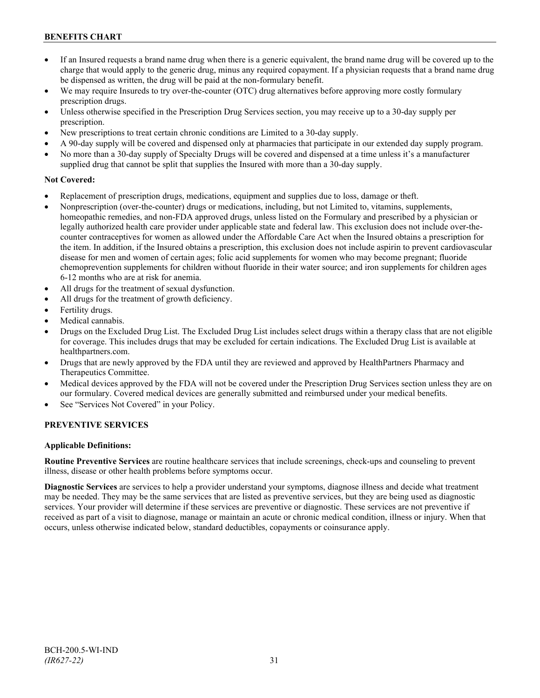## **BENEFITS CHART**

- If an Insured requests a brand name drug when there is a generic equivalent, the brand name drug will be covered up to the charge that would apply to the generic drug, minus any required copayment. If a physician requests that a brand name drug be dispensed as written, the drug will be paid at the non-formulary benefit.
- We may require Insureds to try over-the-counter (OTC) drug alternatives before approving more costly formulary prescription drugs.
- Unless otherwise specified in the Prescription Drug Services section, you may receive up to a 30-day supply per prescription.
- New prescriptions to treat certain chronic conditions are Limited to a 30-day supply.
- A 90-day supply will be covered and dispensed only at pharmacies that participate in our extended day supply program.
- No more than a 30-day supply of Specialty Drugs will be covered and dispensed at a time unless it's a manufacturer supplied drug that cannot be split that supplies the Insured with more than a 30-day supply.

### **Not Covered:**

- Replacement of prescription drugs, medications, equipment and supplies due to loss, damage or theft.
- Nonprescription (over-the-counter) drugs or medications, including, but not Limited to, vitamins, supplements, homeopathic remedies, and non-FDA approved drugs, unless listed on the Formulary and prescribed by a physician or legally authorized health care provider under applicable state and federal law. This exclusion does not include over-thecounter contraceptives for women as allowed under the Affordable Care Act when the Insured obtains a prescription for the item. In addition, if the Insured obtains a prescription, this exclusion does not include aspirin to prevent cardiovascular disease for men and women of certain ages; folic acid supplements for women who may become pregnant; fluoride chemoprevention supplements for children without fluoride in their water source; and iron supplements for children ages 6-12 months who are at risk for anemia.
- All drugs for the treatment of sexual dysfunction.
- All drugs for the treatment of growth deficiency.
- Fertility drugs.
- Medical cannabis.
- Drugs on the Excluded Drug List. The Excluded Drug List includes select drugs within a therapy class that are not eligible for coverage. This includes drugs that may be excluded for certain indications. The Excluded Drug List is available at [healthpartners.com.](http://www.healthpartners.com/)
- Drugs that are newly approved by the FDA until they are reviewed and approved by HealthPartners Pharmacy and Therapeutics Committee.
- Medical devices approved by the FDA will not be covered under the Prescription Drug Services section unless they are on our formulary. Covered medical devices are generally submitted and reimbursed under your medical benefits.
- See "Services Not Covered" in your Policy.

### **PREVENTIVE SERVICES**

### **Applicable Definitions:**

**Routine Preventive Services** are routine healthcare services that include screenings, check-ups and counseling to prevent illness, disease or other health problems before symptoms occur.

**Diagnostic Services** are services to help a provider understand your symptoms, diagnose illness and decide what treatment may be needed. They may be the same services that are listed as preventive services, but they are being used as diagnostic services. Your provider will determine if these services are preventive or diagnostic. These services are not preventive if received as part of a visit to diagnose, manage or maintain an acute or chronic medical condition, illness or injury. When that occurs, unless otherwise indicated below, standard deductibles, copayments or coinsurance apply.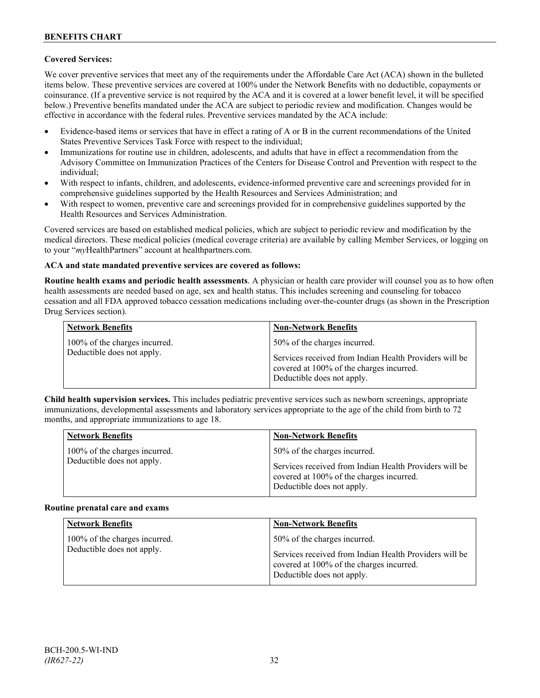### **Covered Services:**

We cover preventive services that meet any of the requirements under the Affordable Care Act (ACA) shown in the bulleted items below. These preventive services are covered at 100% under the Network Benefits with no deductible, copayments or coinsurance. (If a preventive service is not required by the ACA and it is covered at a lower benefit level, it will be specified below.) Preventive benefits mandated under the ACA are subject to periodic review and modification. Changes would be effective in accordance with the federal rules. Preventive services mandated by the ACA include:

- Evidence-based items or services that have in effect a rating of A or B in the current recommendations of the United States Preventive Services Task Force with respect to the individual;
- Immunizations for routine use in children, adolescents, and adults that have in effect a recommendation from the Advisory Committee on Immunization Practices of the Centers for Disease Control and Prevention with respect to the individual;
- With respect to infants, children, and adolescents, evidence-informed preventive care and screenings provided for in comprehensive guidelines supported by the Health Resources and Services Administration; and
- With respect to women, preventive care and screenings provided for in comprehensive guidelines supported by the Health Resources and Services Administration.

Covered services are based on established medical policies, which are subject to periodic review and modification by the medical directors. These medical policies (medical coverage criteria) are available by calling Member Services, or logging on to your "*my*HealthPartners" account at [healthpartners.com.](http://www.healthpartners.com/)

### **ACA and state mandated preventive services are covered as follows:**

**Routine health exams and periodic health assessments**. A physician or health care provider will counsel you as to how often health assessments are needed based on age, sex and health status. This includes screening and counseling for tobacco cessation and all FDA approved tobacco cessation medications including over-the-counter drugs (as shown in the Prescription Drug Services section).

| <b>Network Benefits</b>                                     | <b>Non-Network Benefits</b>                                                                                                                                      |
|-------------------------------------------------------------|------------------------------------------------------------------------------------------------------------------------------------------------------------------|
| 100% of the charges incurred.<br>Deductible does not apply. | 50% of the charges incurred.<br>Services received from Indian Health Providers will be<br>covered at 100% of the charges incurred.<br>Deductible does not apply. |

**Child health supervision services.** This includes pediatric preventive services such as newborn screenings, appropriate immunizations, developmental assessments and laboratory services appropriate to the age of the child from birth to 72 months, and appropriate immunizations to age 18.

| <b>Network Benefits</b>       | <b>Non-Network Benefits</b>                                                                                                      |
|-------------------------------|----------------------------------------------------------------------------------------------------------------------------------|
| 100% of the charges incurred. | 50% of the charges incurred.                                                                                                     |
| Deductible does not apply.    | Services received from Indian Health Providers will be<br>covered at 100% of the charges incurred.<br>Deductible does not apply. |

#### **Routine prenatal care and exams**

| <b>Network Benefits</b>                                     | <b>Non-Network Benefits</b>                                                                                                                                      |
|-------------------------------------------------------------|------------------------------------------------------------------------------------------------------------------------------------------------------------------|
| 100% of the charges incurred.<br>Deductible does not apply. | 50% of the charges incurred.<br>Services received from Indian Health Providers will be<br>covered at 100% of the charges incurred.<br>Deductible does not apply. |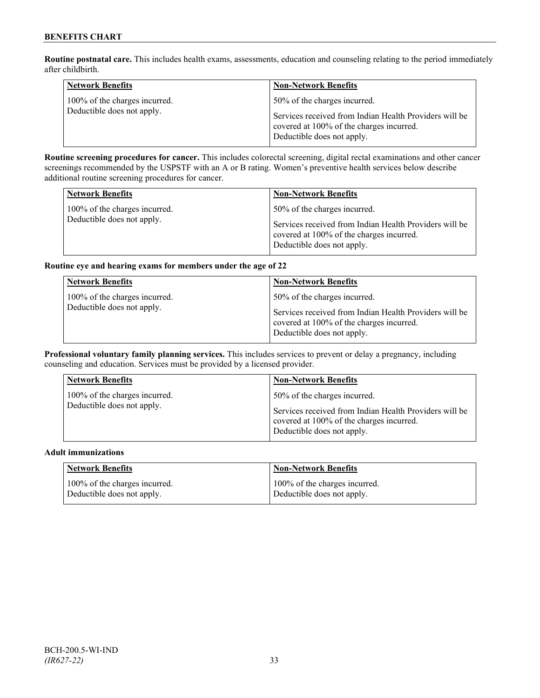**Routine postnatal care.** This includes health exams, assessments, education and counseling relating to the period immediately after childbirth.

| <b>Network Benefits</b>                                     | <b>Non-Network Benefits</b>                                                                                                                                      |
|-------------------------------------------------------------|------------------------------------------------------------------------------------------------------------------------------------------------------------------|
| 100% of the charges incurred.<br>Deductible does not apply. | 50% of the charges incurred.<br>Services received from Indian Health Providers will be<br>covered at 100% of the charges incurred.<br>Deductible does not apply. |

**Routine screening procedures for cancer.** This includes colorectal screening, digital rectal examinations and other cancer screenings recommended by the USPSTF with an A or B rating. Women's preventive health services below describe additional routine screening procedures for cancer.

| <b>Network Benefits</b>                                     | <b>Non-Network Benefits</b>                                                            |
|-------------------------------------------------------------|----------------------------------------------------------------------------------------|
| 100% of the charges incurred.<br>Deductible does not apply. | 50% of the charges incurred.<br>Services received from Indian Health Providers will be |
|                                                             | covered at 100% of the charges incurred.<br>Deductible does not apply.                 |

### **Routine eye and hearing exams for members under the age of 22**

| <b>Network Benefits</b>                                     | <b>Non-Network Benefits</b>                                                                                                                                      |
|-------------------------------------------------------------|------------------------------------------------------------------------------------------------------------------------------------------------------------------|
| 100% of the charges incurred.<br>Deductible does not apply. | 50% of the charges incurred.<br>Services received from Indian Health Providers will be<br>covered at 100% of the charges incurred.<br>Deductible does not apply. |

**Professional voluntary family planning services.** This includes services to prevent or delay a pregnancy, including counseling and education. Services must be provided by a licensed provider.

| 50% of the charges incurred.<br>100% of the charges incurred.<br>Deductible does not apply.<br>Services received from Indian Health Providers will be | <b>Network Benefits</b> | <b>Non-Network Benefits</b>              |
|-------------------------------------------------------------------------------------------------------------------------------------------------------|-------------------------|------------------------------------------|
| Deductible does not apply.                                                                                                                            |                         | covered at 100% of the charges incurred. |

#### **Adult immunizations**

| <b>Network Benefits</b>       | <b>Non-Network Benefits</b>   |
|-------------------------------|-------------------------------|
| 100% of the charges incurred. | 100% of the charges incurred. |
| Deductible does not apply.    | Deductible does not apply.    |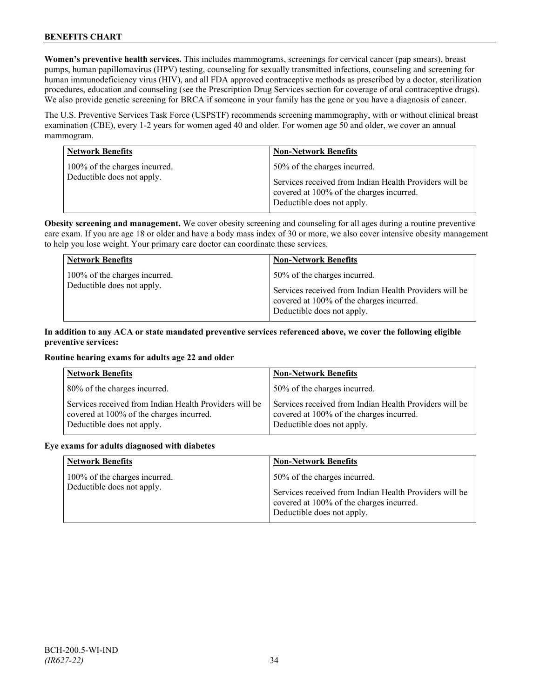**Women's preventive health services.** This includes mammograms, screenings for cervical cancer (pap smears), breast pumps, human papillomavirus (HPV) testing, counseling for sexually transmitted infections, counseling and screening for human immunodeficiency virus (HIV), and all FDA approved contraceptive methods as prescribed by a doctor, sterilization procedures, education and counseling (see the Prescription Drug Services section for coverage of oral contraceptive drugs). We also provide genetic screening for BRCA if someone in your family has the gene or you have a diagnosis of cancer.

The U.S. Preventive Services Task Force (USPSTF) recommends screening mammography, with or without clinical breast examination (CBE), every 1-2 years for women aged 40 and older. For women age 50 and older, we cover an annual mammogram.

| <b>Network Benefits</b>                                     | <b>Non-Network Benefits</b>                                                                                                                                      |
|-------------------------------------------------------------|------------------------------------------------------------------------------------------------------------------------------------------------------------------|
| 100% of the charges incurred.<br>Deductible does not apply. | 50% of the charges incurred.<br>Services received from Indian Health Providers will be<br>covered at 100% of the charges incurred.<br>Deductible does not apply. |

**Obesity screening and management.** We cover obesity screening and counseling for all ages during a routine preventive care exam. If you are age 18 or older and have a body mass index of 30 or more, we also cover intensive obesity management to help you lose weight. Your primary care doctor can coordinate these services.

| <b>Network Benefits</b>       | <b>Non-Network Benefits</b>                                                                                                      |
|-------------------------------|----------------------------------------------------------------------------------------------------------------------------------|
| 100% of the charges incurred. | 50% of the charges incurred.                                                                                                     |
| Deductible does not apply.    | Services received from Indian Health Providers will be<br>covered at 100% of the charges incurred.<br>Deductible does not apply. |

### **In addition to any ACA or state mandated preventive services referenced above, we cover the following eligible preventive services:**

### **Routine hearing exams for adults age 22 and older**

| <b>Network Benefits</b>                                                                                                          | <b>Non-Network Benefits</b>                                                                                                      |
|----------------------------------------------------------------------------------------------------------------------------------|----------------------------------------------------------------------------------------------------------------------------------|
| 80% of the charges incurred.                                                                                                     | 50% of the charges incurred.                                                                                                     |
| Services received from Indian Health Providers will be<br>covered at 100% of the charges incurred.<br>Deductible does not apply. | Services received from Indian Health Providers will be<br>covered at 100% of the charges incurred.<br>Deductible does not apply. |

#### **Eye exams for adults diagnosed with diabetes**

| <b>Network Benefits</b>                                     | <b>Non-Network Benefits</b>                                                                                                                                      |
|-------------------------------------------------------------|------------------------------------------------------------------------------------------------------------------------------------------------------------------|
| 100% of the charges incurred.<br>Deductible does not apply. | 50% of the charges incurred.<br>Services received from Indian Health Providers will be<br>covered at 100% of the charges incurred.<br>Deductible does not apply. |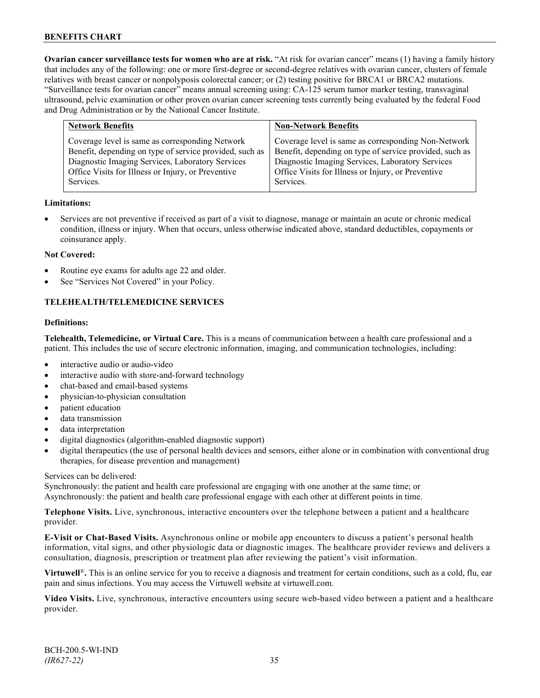**Ovarian cancer surveillance tests for women who are at risk.** "At risk for ovarian cancer" means (1) having a family history that includes any of the following: one or more first-degree or second-degree relatives with ovarian cancer, clusters of female relatives with breast cancer or nonpolyposis colorectal cancer; or (2) testing positive for BRCA1 or BRCA2 mutations. "Surveillance tests for ovarian cancer" means annual screening using: CA-125 serum tumor marker testing, transvaginal ultrasound, pelvic examination or other proven ovarian cancer screening tests currently being evaluated by the federal Food and Drug Administration or by the National Cancer Institute.

| <b>Network Benefits</b>                                                                                                                                                                                                           | <b>Non-Network Benefits</b>                                                                                                                                                                                                           |
|-----------------------------------------------------------------------------------------------------------------------------------------------------------------------------------------------------------------------------------|---------------------------------------------------------------------------------------------------------------------------------------------------------------------------------------------------------------------------------------|
| Coverage level is same as corresponding Network<br>Benefit, depending on type of service provided, such as<br>Diagnostic Imaging Services, Laboratory Services<br>Office Visits for Illness or Injury, or Preventive<br>Services. | Coverage level is same as corresponding Non-Network<br>Benefit, depending on type of service provided, such as<br>Diagnostic Imaging Services, Laboratory Services<br>Office Visits for Illness or Injury, or Preventive<br>Services. |
|                                                                                                                                                                                                                                   |                                                                                                                                                                                                                                       |

### **Limitations:**

• Services are not preventive if received as part of a visit to diagnose, manage or maintain an acute or chronic medical condition, illness or injury. When that occurs, unless otherwise indicated above, standard deductibles, copayments or coinsurance apply.

### **Not Covered:**

- Routine eye exams for adults age 22 and older.
- See "Services Not Covered" in your Policy.

### **TELEHEALTH/TELEMEDICINE SERVICES**

#### **Definitions:**

**Telehealth, Telemedicine, or Virtual Care.** This is a means of communication between a health care professional and a patient. This includes the use of secure electronic information, imaging, and communication technologies, including:

- interactive audio or audio-video
- interactive audio with store-and-forward technology
- chat-based and email-based systems
- physician-to-physician consultation
- patient education
- data transmission
- data interpretation
- digital diagnostics (algorithm-enabled diagnostic support)
- digital therapeutics (the use of personal health devices and sensors, either alone or in combination with conventional drug therapies, for disease prevention and management)

#### Services can be delivered:

Synchronously: the patient and health care professional are engaging with one another at the same time; or Asynchronously: the patient and health care professional engage with each other at different points in time.

**Telephone Visits.** Live, synchronous, interactive encounters over the telephone between a patient and a healthcare provider.

**E-Visit or Chat-Based Visits.** Asynchronous online or mobile app encounters to discuss a patient's personal health information, vital signs, and other physiologic data or diagnostic images. The healthcare provider reviews and delivers a consultation, diagnosis, prescription or treatment plan after reviewing the patient's visit information.

**Virtuwell<sup>®</sup>.** This is an online service for you to receive a diagnosis and treatment for certain conditions, such as a cold, flu, ear pain and sinus infections. You may access the Virtuwell website at [virtuwell.com.](https://www.virtuwell.com/)

**Video Visits.** Live, synchronous, interactive encounters using secure web-based video between a patient and a healthcare provider.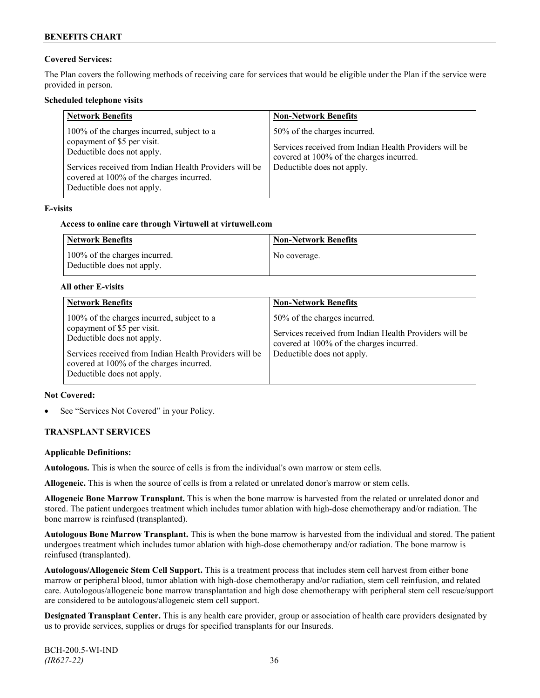### **Covered Services:**

The Plan covers the following methods of receiving care for services that would be eligible under the Plan if the service were provided in person.

### **Scheduled telephone visits**

| <b>Network Benefits</b>                                                                                                                                                                                                                     | <b>Non-Network Benefits</b>                                                                                                                                      |
|---------------------------------------------------------------------------------------------------------------------------------------------------------------------------------------------------------------------------------------------|------------------------------------------------------------------------------------------------------------------------------------------------------------------|
| 100% of the charges incurred, subject to a<br>copayment of \$5 per visit.<br>Deductible does not apply.<br>Services received from Indian Health Providers will be<br>covered at 100% of the charges incurred.<br>Deductible does not apply. | 50% of the charges incurred.<br>Services received from Indian Health Providers will be<br>covered at 100% of the charges incurred.<br>Deductible does not apply. |

### **E-visits**

### **Access to online care through Virtuwell at [virtuwell.com](http://www.virtuwell.com/)**

| <b>Network Benefits</b>                                     | <b>Non-Network Benefits</b> |
|-------------------------------------------------------------|-----------------------------|
| 100% of the charges incurred.<br>Deductible does not apply. | No coverage.                |

### **All other E-visits**

| <b>Network Benefits</b>                                                                                                                                                                                                                     | <b>Non-Network Benefits</b>                                                                                                                                      |
|---------------------------------------------------------------------------------------------------------------------------------------------------------------------------------------------------------------------------------------------|------------------------------------------------------------------------------------------------------------------------------------------------------------------|
| 100% of the charges incurred, subject to a<br>copayment of \$5 per visit.<br>Deductible does not apply.<br>Services received from Indian Health Providers will be<br>covered at 100% of the charges incurred.<br>Deductible does not apply. | 50% of the charges incurred.<br>Services received from Indian Health Providers will be<br>covered at 100% of the charges incurred.<br>Deductible does not apply. |

### **Not Covered:**

See "Services Not Covered" in your Policy.

### **TRANSPLANT SERVICES**

### **Applicable Definitions:**

**Autologous.** This is when the source of cells is from the individual's own marrow or stem cells.

**Allogeneic.** This is when the source of cells is from a related or unrelated donor's marrow or stem cells.

**Allogeneic Bone Marrow Transplant.** This is when the bone marrow is harvested from the related or unrelated donor and stored. The patient undergoes treatment which includes tumor ablation with high-dose chemotherapy and/or radiation. The bone marrow is reinfused (transplanted).

**Autologous Bone Marrow Transplant.** This is when the bone marrow is harvested from the individual and stored. The patient undergoes treatment which includes tumor ablation with high-dose chemotherapy and/or radiation. The bone marrow is reinfused (transplanted).

**Autologous/Allogeneic Stem Cell Support.** This is a treatment process that includes stem cell harvest from either bone marrow or peripheral blood, tumor ablation with high-dose chemotherapy and/or radiation, stem cell reinfusion, and related care. Autologous/allogeneic bone marrow transplantation and high dose chemotherapy with peripheral stem cell rescue/support are considered to be autologous/allogeneic stem cell support.

**Designated Transplant Center.** This is any health care provider, group or association of health care providers designated by us to provide services, supplies or drugs for specified transplants for our Insureds.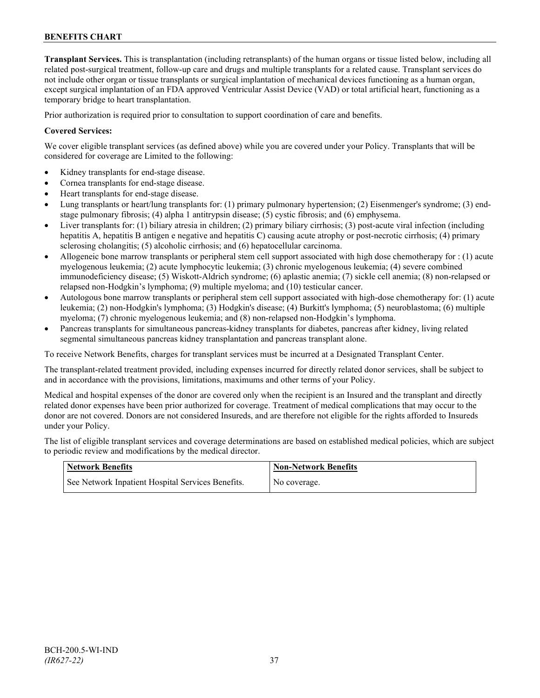**Transplant Services.** This is transplantation (including retransplants) of the human organs or tissue listed below, including all related post-surgical treatment, follow-up care and drugs and multiple transplants for a related cause. Transplant services do not include other organ or tissue transplants or surgical implantation of mechanical devices functioning as a human organ, except surgical implantation of an FDA approved Ventricular Assist Device (VAD) or total artificial heart, functioning as a temporary bridge to heart transplantation.

Prior authorization is required prior to consultation to support coordination of care and benefits.

### **Covered Services:**

We cover eligible transplant services (as defined above) while you are covered under your Policy. Transplants that will be considered for coverage are Limited to the following:

- Kidney transplants for end-stage disease.
- Cornea transplants for end-stage disease.
- Heart transplants for end-stage disease.
- Lung transplants or heart/lung transplants for: (1) primary pulmonary hypertension; (2) Eisenmenger's syndrome; (3) endstage pulmonary fibrosis; (4) alpha 1 antitrypsin disease; (5) cystic fibrosis; and (6) emphysema.
- Liver transplants for: (1) biliary atresia in children; (2) primary biliary cirrhosis; (3) post-acute viral infection (including hepatitis A, hepatitis B antigen e negative and hepatitis C) causing acute atrophy or post-necrotic cirrhosis; (4) primary sclerosing cholangitis; (5) alcoholic cirrhosis; and (6) hepatocellular carcinoma.
- Allogeneic bone marrow transplants or peripheral stem cell support associated with high dose chemotherapy for : (1) acute myelogenous leukemia; (2) acute lymphocytic leukemia; (3) chronic myelogenous leukemia; (4) severe combined immunodeficiency disease; (5) Wiskott-Aldrich syndrome; (6) aplastic anemia; (7) sickle cell anemia; (8) non-relapsed or relapsed non-Hodgkin's lymphoma; (9) multiple myeloma; and (10) testicular cancer.
- Autologous bone marrow transplants or peripheral stem cell support associated with high-dose chemotherapy for: (1) acute leukemia; (2) non-Hodgkin's lymphoma; (3) Hodgkin's disease; (4) Burkitt's lymphoma; (5) neuroblastoma; (6) multiple myeloma; (7) chronic myelogenous leukemia; and (8) non-relapsed non-Hodgkin's lymphoma.
- Pancreas transplants for simultaneous pancreas-kidney transplants for diabetes, pancreas after kidney, living related segmental simultaneous pancreas kidney transplantation and pancreas transplant alone.

To receive Network Benefits, charges for transplant services must be incurred at a Designated Transplant Center.

The transplant-related treatment provided, including expenses incurred for directly related donor services, shall be subject to and in accordance with the provisions, limitations, maximums and other terms of your Policy.

Medical and hospital expenses of the donor are covered only when the recipient is an Insured and the transplant and directly related donor expenses have been prior authorized for coverage. Treatment of medical complications that may occur to the donor are not covered. Donors are not considered Insureds, and are therefore not eligible for the rights afforded to Insureds under your Policy.

The list of eligible transplant services and coverage determinations are based on established medical policies, which are subject to periodic review and modifications by the medical director.

| <b>Network Benefits</b>                           | <b>Non-Network Benefits</b> |
|---------------------------------------------------|-----------------------------|
| See Network Inpatient Hospital Services Benefits. | No coverage.                |